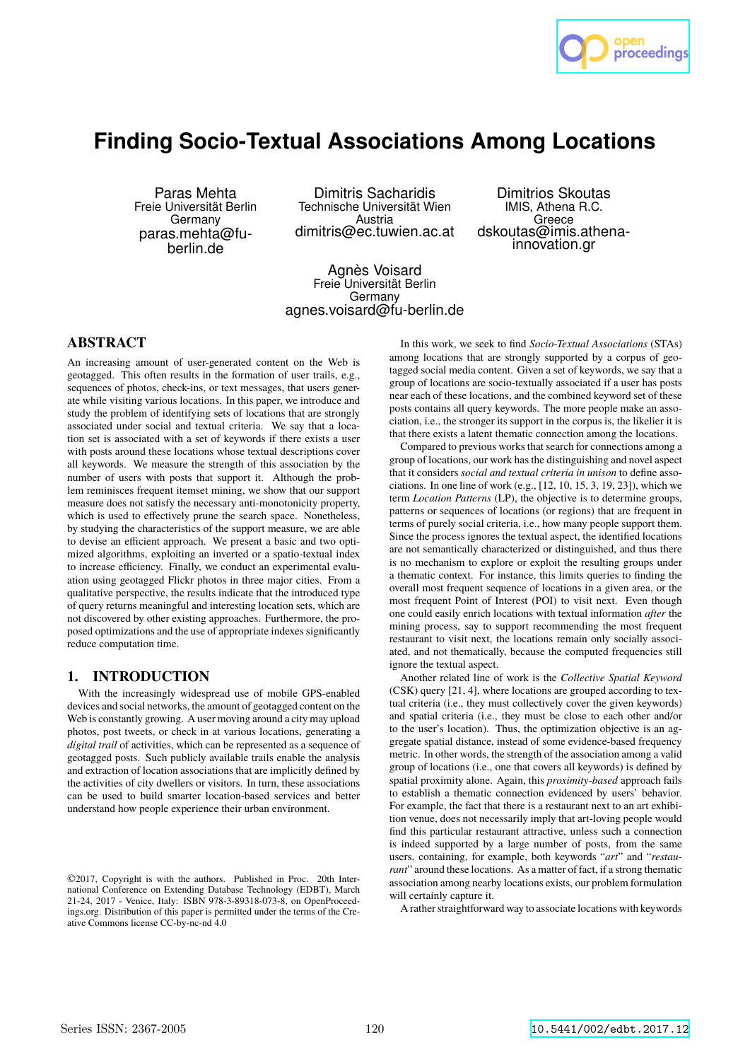

# **Finding Socio-Textual Associations Among Locations**

Paras Mehta Freie Universität Berlin **Germany** paras.mehta@fuberlin.de

Dimitris Sacharidis Technische Universität Wien Austria dimitris@ec.tuwien.ac.at

Dimitrios Skoutas IMIS, Athena R.C. Greece dskoutas@imis.athenainnovation.gr

Agnès Voisard Freie Universität Berlin Germany agnes.voisard@fu-berlin.de

## ABSTRACT

An increasing amount of user-generated content on the Web is geotagged. This often results in the formation of user trails, e.g., sequences of photos, check-ins, or text messages, that users generate while visiting various locations. In this paper, we introduce and study the problem of identifying sets of locations that are strongly associated under social and textual criteria. We say that a location set is associated with a set of keywords if there exists a user with posts around these locations whose textual descriptions cover all keywords. We measure the strength of this association by the number of users with posts that support it. Although the problem reminisces frequent itemset mining, we show that our support measure does not satisfy the necessary anti-monotonicity property, which is used to effectively prune the search space. Nonetheless, by studying the characteristics of the support measure, we are able to devise an efficient approach. We present a basic and two optimized algorithms, exploiting an inverted or a spatio-textual index to increase efficiency. Finally, we conduct an experimental evaluation using geotagged Flickr photos in three major cities. From a qualitative perspective, the results indicate that the introduced type of query returns meaningful and interesting location sets, which are not discovered by other existing approaches. Furthermore, the proposed optimizations and the use of appropriate indexes significantly reduce computation time.

## 1. INTRODUCTION

With the increasingly widespread use of mobile GPS-enabled devices and social networks, the amount of geotagged content on the Web is constantly growing. A user moving around a city may upload photos, post tweets, or check in at various locations, generating a *digital trail* of activities, which can be represented as a sequence of geotagged posts. Such publicly available trails enable the analysis and extraction of location associations that are implicitly defined by the activities of city dwellers or visitors. In turn, these associations can be used to build smarter location-based services and better understand how people experience their urban environment.

©2017, Copyright is with the authors. Published in Proc. 20th International Conference on Extending Database Technology (EDBT), March 21-24, 2017 - Venice, Italy: ISBN 978-3-89318-073-8, on OpenProceedings.org. Distribution of this paper is permitted under the terms of the Creative Commons license CC-by-nc-nd 4.0

In this work, we seek to find *Socio-Textual Associations* (STAs) among locations that are strongly supported by a corpus of geotagged social media content. Given a set of keywords, we say that a group of locations are socio-textually associated if a user has posts near each of these locations, and the combined keyword set of these posts contains all query keywords. The more people make an association, i.e., the stronger its support in the corpus is, the likelier it is that there exists a latent thematic connection among the locations.

Compared to previous works that search for connections among a group of locations, our work has the distinguishing and novel aspect that it considers *social and textual criteria in unison* to define associations. In one line of work (e.g., [12, 10, 15, 3, 19, 23]), which we term *Location Patterns* (LP), the objective is to determine groups, patterns or sequences of locations (or regions) that are frequent in terms of purely social criteria, i.e., how many people support them. Since the process ignores the textual aspect, the identified locations are not semantically characterized or distinguished, and thus there is no mechanism to explore or exploit the resulting groups under a thematic context. For instance, this limits queries to finding the overall most frequent sequence of locations in a given area, or the most frequent Point of Interest (POI) to visit next. Even though one could easily enrich locations with textual information *after* the mining process, say to support recommending the most frequent restaurant to visit next, the locations remain only socially associated, and not thematically, because the computed frequencies still ignore the textual aspect.

Another related line of work is the *Collective Spatial Keyword* (CSK) query [21, 4], where locations are grouped according to textual criteria (i.e., they must collectively cover the given keywords) and spatial criteria (i.e., they must be close to each other and/or to the user's location). Thus, the optimization objective is an aggregate spatial distance, instead of some evidence-based frequency metric. In other words, the strength of the association among a valid group of locations (i.e., one that covers all keywords) is defined by spatial proximity alone. Again, this *proximity-based* approach fails to establish a thematic connection evidenced by users' behavior. For example, the fact that there is a restaurant next to an art exhibition venue, does not necessarily imply that art-loving people would find this particular restaurant attractive, unless such a connection is indeed supported by a large number of posts, from the same users, containing, for example, both keywords "*art*" and "*restaurant*" around these locations. As a matter of fact, if a strong thematic association among nearby locations exists, our problem formulation will certainly capture it.

A rather straightforward way to associate locations with keywords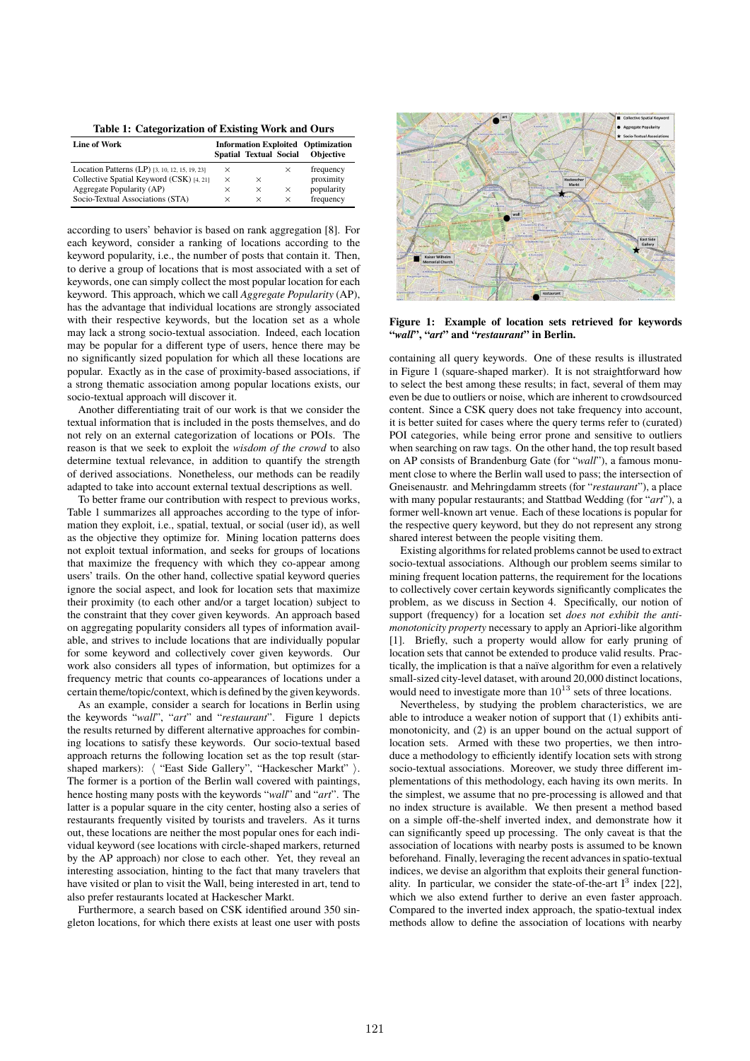**Table 1: Categorization of Existing Work and Ours**

| <b>Line of Work</b>                            | <b>Information Exploited Optimization</b> |                               |          |                  |
|------------------------------------------------|-------------------------------------------|-------------------------------|----------|------------------|
|                                                |                                           | <b>Spatial Textual Social</b> |          | <b>Objective</b> |
| Location Patterns (LP) [3, 10, 12, 15, 19, 23] | $\times$                                  |                               | ×        | frequency        |
| Collective Spatial Keyword (CSK) [4, 21]       | $\times$                                  | ×                             |          | proximity        |
| Aggregate Popularity (AP)                      | $\times$                                  | $\times$                      | ×        | popularity       |
| Socio-Textual Associations (STA)               | $\times$                                  | $\times$                      | $\times$ | frequency        |

according to users' behavior is based on rank aggregation [8]. For each keyword, consider a ranking of locations according to the keyword popularity, i.e., the number of posts that contain it. Then, to derive a group of locations that is most associated with a set of keywords, one can simply collect the most popular location for each keyword. This approach, which we call *Aggregate Popularity* (AP), has the advantage that individual locations are strongly associated with their respective keywords, but the location set as a whole may lack a strong socio-textual association. Indeed, each location may be popular for a different type of users, hence there may be no significantly sized population for which all these locations are popular. Exactly as in the case of proximity-based associations, if a strong thematic association among popular locations exists, our socio-textual approach will discover it.

Another differentiating trait of our work is that we consider the textual information that is included in the posts themselves, and do not rely on an external categorization of locations or POIs. The reason is that we seek to exploit the *wisdom of the crowd* to also determine textual relevance, in addition to quantify the strength of derived associations. Nonetheless, our methods can be readily adapted to take into account external textual descriptions as well.

To better frame our contribution with respect to previous works, Table 1 summarizes all approaches according to the type of information they exploit, i.e., spatial, textual, or social (user id), as well as the objective they optimize for. Mining location patterns does not exploit textual information, and seeks for groups of locations that maximize the frequency with which they co-appear among users' trails. On the other hand, collective spatial keyword queries ignore the social aspect, and look for location sets that maximize their proximity (to each other and/or a target location) subject to the constraint that they cover given keywords. An approach based on aggregating popularity considers all types of information available, and strives to include locations that are individually popular for some keyword and collectively cover given keywords. Our work also considers all types of information, but optimizes for a frequency metric that counts co-appearances of locations under a certain theme/topic/context, which is defined by the given keywords.

As an example, consider a search for locations in Berlin using the keywords "*wall*", "*art*" and "*restaurant*". Figure 1 depicts the results returned by different alternative approaches for combining locations to satisfy these keywords. Our socio-textual based approach returns the following location set as the top result (starshaped markers):  $\langle$  "East Side Gallery", "Hackescher Markt"  $\rangle$ . The former is a portion of the Berlin wall covered with paintings, hence hosting many posts with the keywords "*wall*" and "*art*". The latter is a popular square in the city center, hosting also a series of restaurants frequently visited by tourists and travelers. As it turns out, these locations are neither the most popular ones for each individual keyword (see locations with circle-shaped markers, returned by the AP approach) nor close to each other. Yet, they reveal an interesting association, hinting to the fact that many travelers that have visited or plan to visit the Wall, being interested in art, tend to also prefer restaurants located at Hackescher Markt.

Furthermore, a search based on CSK identified around 350 singleton locations, for which there exists at least one user with posts



**Figure 1: Example of location sets retrieved for keywords "***wall***", "***art***" and "***restaurant***" in Berlin.**

containing all query keywords. One of these results is illustrated in Figure 1 (square-shaped marker). It is not straightforward how to select the best among these results; in fact, several of them may even be due to outliers or noise, which are inherent to crowdsourced content. Since a CSK query does not take frequency into account, it is better suited for cases where the query terms refer to (curated) POI categories, while being error prone and sensitive to outliers when searching on raw tags. On the other hand, the top result based on AP consists of Brandenburg Gate (for "*wall*"), a famous monument close to where the Berlin wall used to pass; the intersection of Gneisenaustr. and Mehringdamm streets (for "*restaurant*"), a place with many popular restaurants; and Stattbad Wedding (for "*art*"), a former well-known art venue. Each of these locations is popular for the respective query keyword, but they do not represent any strong shared interest between the people visiting them.

Existing algorithms for related problems cannot be used to extract socio-textual associations. Although our problem seems similar to mining frequent location patterns, the requirement for the locations to collectively cover certain keywords significantly complicates the problem, as we discuss in Section 4. Specifically, our notion of support (frequency) for a location set *does not exhibit the antimonotonicity property* necessary to apply an Apriori-like algorithm [1]. Briefly, such a property would allow for early pruning of location sets that cannot be extended to produce valid results. Practically, the implication is that a naïve algorithm for even a relatively small-sized city-level dataset, with around 20,000 distinct locations, would need to investigate more than  $10^{13}$  sets of three locations.

Nevertheless, by studying the problem characteristics, we are able to introduce a weaker notion of support that (1) exhibits antimonotonicity, and (2) is an upper bound on the actual support of location sets. Armed with these two properties, we then introduce a methodology to efficiently identify location sets with strong socio-textual associations. Moreover, we study three different implementations of this methodology, each having its own merits. In the simplest, we assume that no pre-processing is allowed and that no index structure is available. We then present a method based on a simple off-the-shelf inverted index, and demonstrate how it can significantly speed up processing. The only caveat is that the association of locations with nearby posts is assumed to be known beforehand. Finally, leveraging the recent advances in spatio-textual indices, we devise an algorithm that exploits their general functionality. In particular, we consider the state-of-the-art  $I^3$  index [22], which we also extend further to derive an even faster approach. Compared to the inverted index approach, the spatio-textual index methods allow to define the association of locations with nearby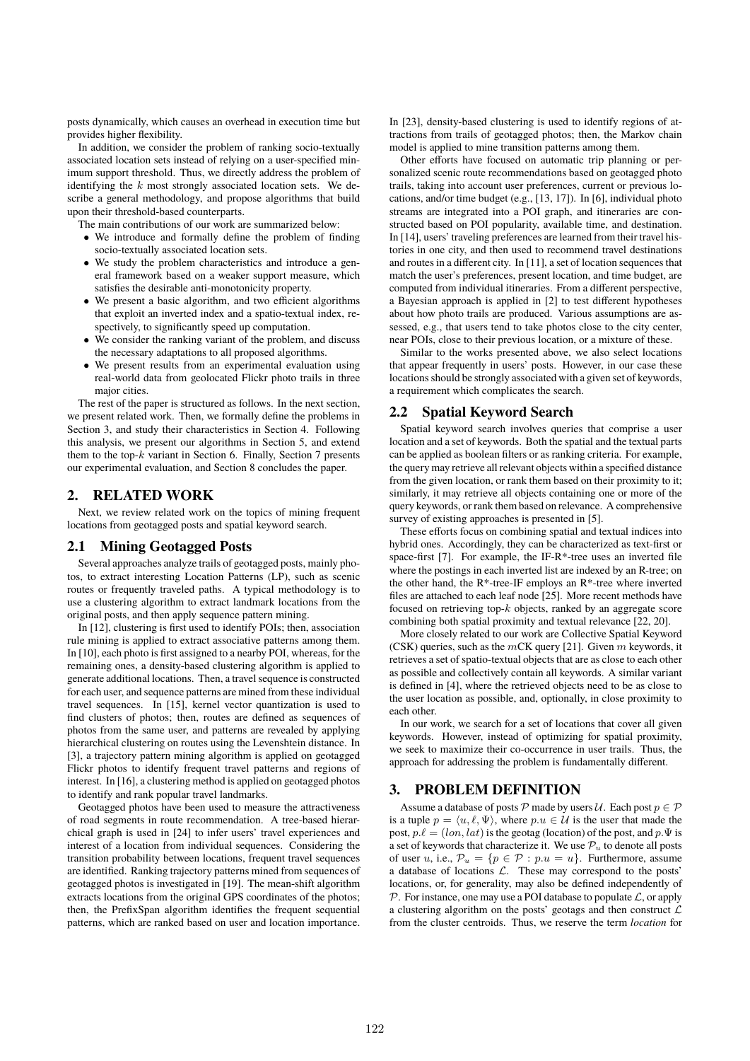posts dynamically, which causes an overhead in execution time but provides higher flexibility.

In addition, we consider the problem of ranking socio-textually associated location sets instead of relying on a user-specified minimum support threshold. Thus, we directly address the problem of identifying the  $k$  most strongly associated location sets. We describe a general methodology, and propose algorithms that build upon their threshold-based counterparts.

The main contributions of our work are summarized below:

- We introduce and formally define the problem of finding socio-textually associated location sets.
- We study the problem characteristics and introduce a general framework based on a weaker support measure, which satisfies the desirable anti-monotonicity property.
- We present a basic algorithm, and two efficient algorithms that exploit an inverted index and a spatio-textual index, respectively, to significantly speed up computation.
- We consider the ranking variant of the problem, and discuss the necessary adaptations to all proposed algorithms.
- We present results from an experimental evaluation using real-world data from geolocated Flickr photo trails in three major cities.

The rest of the paper is structured as follows. In the next section, we present related work. Then, we formally define the problems in Section 3, and study their characteristics in Section 4. Following this analysis, we present our algorithms in Section 5, and extend them to the top- $k$  variant in Section 6. Finally, Section 7 presents our experimental evaluation, and Section 8 concludes the paper.

## 2. RELATED WORK

Next, we review related work on the topics of mining frequent locations from geotagged posts and spatial keyword search.

#### 2.1 Mining Geotagged Posts

Several approaches analyze trails of geotagged posts, mainly photos, to extract interesting Location Patterns (LP), such as scenic routes or frequently traveled paths. A typical methodology is to use a clustering algorithm to extract landmark locations from the original posts, and then apply sequence pattern mining.

In [12], clustering is first used to identify POIs; then, association rule mining is applied to extract associative patterns among them. In [10], each photo is first assigned to a nearby POI, whereas, for the remaining ones, a density-based clustering algorithm is applied to generate additional locations. Then, a travel sequence is constructed for each user, and sequence patterns are mined from these individual travel sequences. In [15], kernel vector quantization is used to find clusters of photos; then, routes are defined as sequences of photos from the same user, and patterns are revealed by applying hierarchical clustering on routes using the Levenshtein distance. In [3], a trajectory pattern mining algorithm is applied on geotagged Flickr photos to identify frequent travel patterns and regions of interest. In [16], a clustering method is applied on geotagged photos to identify and rank popular travel landmarks.

Geotagged photos have been used to measure the attractiveness of road segments in route recommendation. A tree-based hierarchical graph is used in [24] to infer users' travel experiences and interest of a location from individual sequences. Considering the transition probability between locations, frequent travel sequences are identified. Ranking trajectory patterns mined from sequences of geotagged photos is investigated in [19]. The mean-shift algorithm extracts locations from the original GPS coordinates of the photos; then, the PrefixSpan algorithm identifies the frequent sequential patterns, which are ranked based on user and location importance.

In [23], density-based clustering is used to identify regions of attractions from trails of geotagged photos; then, the Markov chain model is applied to mine transition patterns among them.

Other efforts have focused on automatic trip planning or personalized scenic route recommendations based on geotagged photo trails, taking into account user preferences, current or previous locations, and/or time budget (e.g., [13, 17]). In [6], individual photo streams are integrated into a POI graph, and itineraries are constructed based on POI popularity, available time, and destination. In [14], users' traveling preferences are learned from their travel histories in one city, and then used to recommend travel destinations and routes in a different city. In [11], a set of location sequences that match the user's preferences, present location, and time budget, are computed from individual itineraries. From a different perspective, a Bayesian approach is applied in [2] to test different hypotheses about how photo trails are produced. Various assumptions are assessed, e.g., that users tend to take photos close to the city center, near POIs, close to their previous location, or a mixture of these.

Similar to the works presented above, we also select locations that appear frequently in users' posts. However, in our case these locations should be strongly associated with a given set of keywords, a requirement which complicates the search.

## 2.2 Spatial Keyword Search

Spatial keyword search involves queries that comprise a user location and a set of keywords. Both the spatial and the textual parts can be applied as boolean filters or as ranking criteria. For example, the query may retrieve all relevant objects within a specified distance from the given location, or rank them based on their proximity to it; similarly, it may retrieve all objects containing one or more of the query keywords, or rank them based on relevance. A comprehensive survey of existing approaches is presented in [5].

These efforts focus on combining spatial and textual indices into hybrid ones. Accordingly, they can be characterized as text-first or space-first [7]. For example, the IF-R\*-tree uses an inverted file where the postings in each inverted list are indexed by an R-tree; on the other hand, the R\*-tree-IF employs an R\*-tree where inverted files are attached to each leaf node [25]. More recent methods have focused on retrieving top- $k$  objects, ranked by an aggregate score combining both spatial proximity and textual relevance [22, 20].

More closely related to our work are Collective Spatial Keyword (CSK) queries, such as the  $mCK$  query [21]. Given m keywords, it retrieves a set of spatio-textual objects that are as close to each other as possible and collectively contain all keywords. A similar variant is defined in [4], where the retrieved objects need to be as close to the user location as possible, and, optionally, in close proximity to each other.

In our work, we search for a set of locations that cover all given keywords. However, instead of optimizing for spatial proximity, we seek to maximize their co-occurrence in user trails. Thus, the approach for addressing the problem is fundamentally different.

#### 3. PROBLEM DEFINITION

Assume a database of posts  $P$  made by users  $U$ . Each post  $p \in P$ is a tuple  $p = \langle u, \ell, \Psi \rangle$ , where  $p.u \in \mathcal{U}$  is the user that made the post,  $p.\ell = (lon, lat)$  is the geotag (location) of the post, and  $p.\Psi$  is a set of keywords that characterize it. We use  $\mathcal{P}_u$  to denote all posts of user u, i.e.,  $\mathcal{P}_u = \{p \in \mathcal{P} : p.u = u\}$ . Furthermore, assume a database of locations  $\mathcal{L}$ . These may correspond to the posts' locations, or, for generality, may also be defined independently of  $\mathcal P$ . For instance, one may use a POI database to populate  $\mathcal L$ , or apply a clustering algorithm on the posts' geotags and then construct  $\mathcal L$ from the cluster centroids. Thus, we reserve the term *location* for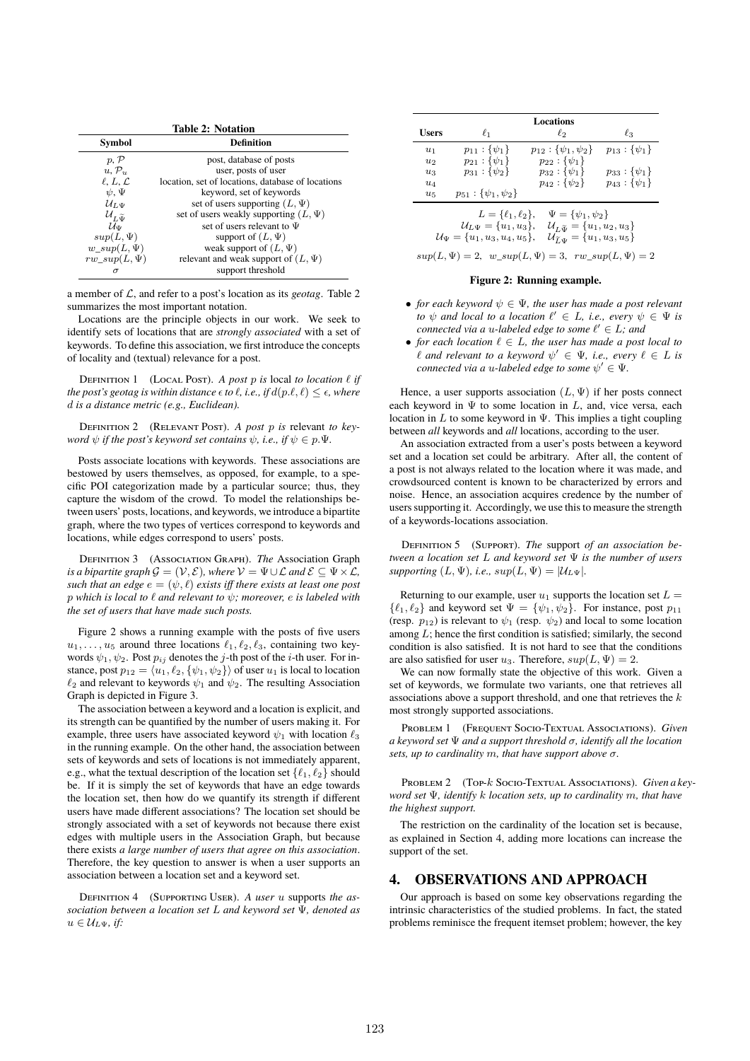| <b>Table 2: Notation</b>          |                                                   |  |  |
|-----------------------------------|---------------------------------------------------|--|--|
| Symbol                            | <b>Definition</b>                                 |  |  |
| p, P                              | post, database of posts                           |  |  |
| $u, \mathcal{P}_u$                | user, posts of user                               |  |  |
| $\ell, L, \mathcal{L}$            | location, set of locations, database of locations |  |  |
| $\psi$ , $\Psi$                   | keyword, set of keywords                          |  |  |
| $\mathcal{U}_{L,\Psi}$            | set of users supporting $(L, \Psi)$               |  |  |
| $\mathcal{U}_{L\widetilde{\Psi}}$ | set of users weakly supporting $(L, \Psi)$        |  |  |
| $\mathcal{U}_{\Psi}$              | set of users relevant to $\Psi$                   |  |  |
| $sup(L,\Psi)$                     | support of $(L, \Psi)$                            |  |  |
| $w\_sup(L, \Psi)$                 | weak support of $(L, \Psi)$                       |  |  |
| $rw\_sup(L, \Psi)$                | relevant and weak support of $(L, \Psi)$          |  |  |
| σ                                 | support threshold                                 |  |  |

a member of L, and refer to a post's location as its *geotag*. Table 2 summarizes the most important notation.

Locations are the principle objects in our work. We seek to identify sets of locations that are *strongly associated* with a set of keywords. To define this association, we first introduce the concepts of locality and (textual) relevance for a post.

DEFINITION 1 (LOCAL POST). A post p is local to location  $\ell$  *if the post's geotag is within distance*  $\epsilon$  *to*  $\ell$ *, i.e., if*  $d(p.\ell, \ell) \leq \epsilon$ *, where* d *is a distance metric (e.g., Euclidean).*

Definition 2 (Relevant Post). *A post* p *is* relevant *to keyword*  $\psi$  *if the post's keyword set contains*  $\psi$ *, i.e., if*  $\psi \in p.\Psi$ *.* 

Posts associate locations with keywords. These associations are bestowed by users themselves, as opposed, for example, to a specific POI categorization made by a particular source; thus, they capture the wisdom of the crowd. To model the relationships between users' posts, locations, and keywords, we introduce a bipartite graph, where the two types of vertices correspond to keywords and locations, while edges correspond to users' posts.

Definition 3 (Association Graph). *The* Association Graph *is a bipartite graph*  $\mathcal{G} = (\mathcal{V}, \mathcal{E})$ *, where*  $\mathcal{V} = \Psi \cup \mathcal{L}$  *and*  $\mathcal{E} \subseteq \Psi \times \mathcal{L}$ *, such that an edge*  $e = (\psi, \ell)$  *exists iff there exists at least one post* p *which is local to* ℓ *and relevant to* ψ*; moreover,* e *is labeled with the set of users that have made such posts.*

Figure 2 shows a running example with the posts of five users  $u_1, \ldots, u_5$  around three locations  $\ell_1, \ell_2, \ell_3$ , containing two keywords  $\psi_1, \psi_2$ . Post  $p_{ij}$  denotes the j-th post of the *i*-th user. For instance, post  $p_{12} = \langle u_1, \ell_2, \{\psi_1, \psi_2\} \rangle$  of user  $u_1$  is local to location  $\ell_2$  and relevant to keywords  $\psi_1$  and  $\psi_2$ . The resulting Association Graph is depicted in Figure 3.

The association between a keyword and a location is explicit, and its strength can be quantified by the number of users making it. For example, three users have associated keyword  $\psi_1$  with location  $\ell_3$ in the running example. On the other hand, the association between sets of keywords and sets of locations is not immediately apparent, e.g., what the textual description of the location set  $\{\ell_1, \ell_2\}$  should be. If it is simply the set of keywords that have an edge towards the location set, then how do we quantify its strength if different users have made different associations? The location set should be strongly associated with a set of keywords not because there exist edges with multiple users in the Association Graph, but because there exists *a large number of users that agree on this association*. Therefore, the key question to answer is when a user supports an association between a location set and a keyword set.

Definition 4 (Supporting User). *A user* u supports *the association between a location set* L *and keyword set* Ψ*, denoted as*  $u \in \mathcal{U}_{L}\psi$ *, if:* 

| $\ell_2$<br><b>Users</b><br>$\ell_1$<br>$\ell_3$<br>$p_{11}$ : { $\psi_1$ }<br>$p_{12}$ : { $\psi_1, \psi_2$ }<br>$u_1$<br>$p_{21}:\{\psi_1\}$<br>$p_{22}$ : { $\psi_1$ }<br>$u_2$<br>$p_{31}$ : { $\psi_2$ }<br>$p_{32}$ : { $\psi_1$ }<br>$u_3$<br>$p_{43}$ : { $\psi_1$ }<br>$p_{42}$ : { $\psi_2$ }<br>$u_4$<br>$p_{51}$ : { $\psi_1, \psi_2$ }<br>$u_{5}$<br>$\Psi = {\psi_1, \psi_2}$<br>$L = {\ell_1, \ell_2},$<br>$\mathcal{U}_{L\Psi} = \{u_1, u_3\},\,$<br>$\mathcal{U}_{L\widetilde{\Psi}}=\{u_1, u_2, u_3\}$<br>$\mathcal{U}_{\tilde{L},\tilde{u}} = \{u_1, u_3, u_5\}$<br>$\mathcal{U}_{\Psi} = \{u_1, u_3, u_4, u_5\},\$ |  | <b>Locations</b> |                         |
|----------------------------------------------------------------------------------------------------------------------------------------------------------------------------------------------------------------------------------------------------------------------------------------------------------------------------------------------------------------------------------------------------------------------------------------------------------------------------------------------------------------------------------------------------------------------------------------------------------------------------------------|--|------------------|-------------------------|
|                                                                                                                                                                                                                                                                                                                                                                                                                                                                                                                                                                                                                                        |  |                  |                         |
|                                                                                                                                                                                                                                                                                                                                                                                                                                                                                                                                                                                                                                        |  |                  | $p_{13}$ : { $\psi_1$ } |
|                                                                                                                                                                                                                                                                                                                                                                                                                                                                                                                                                                                                                                        |  |                  |                         |
|                                                                                                                                                                                                                                                                                                                                                                                                                                                                                                                                                                                                                                        |  |                  | $p_{33}$ : { $\psi_1$ } |
|                                                                                                                                                                                                                                                                                                                                                                                                                                                                                                                                                                                                                                        |  |                  |                         |
|                                                                                                                                                                                                                                                                                                                                                                                                                                                                                                                                                                                                                                        |  |                  |                         |
| $sup(L, \Psi) = 2, w\_sup(L, \Psi) = 3, rw\_sup(L, \Psi) = 2$                                                                                                                                                                                                                                                                                                                                                                                                                                                                                                                                                                          |  |                  |                         |

#### **Figure 2: Running example.**

- *for each keyword*  $\psi \in \Psi$ *, the user has made a post relevant to*  $\psi$  *and local to a location*  $\ell' \in L$ *, i.e., every*  $\psi \in \Psi$  *is connected via a u-labeled edge to some*  $\ell' \in L$ *; and*
- *for each location*  $\ell \in L$ *, the user has made a post local to*  $\ell$  *and relevant to a keyword*  $\psi' \in \Psi$ *, i.e., every*  $\ell \in L$  *is connected via a u-labeled edge to some*  $\psi' \in \Psi$ .

Hence, a user supports association  $(L, \Psi)$  if her posts connect each keyword in  $\Psi$  to some location in  $L$ , and, vice versa, each location in L to some keyword in  $\Psi$ . This implies a tight coupling between *all* keywords and *all* locations, according to the user.

An association extracted from a user's posts between a keyword set and a location set could be arbitrary. After all, the content of a post is not always related to the location where it was made, and crowdsourced content is known to be characterized by errors and noise. Hence, an association acquires credence by the number of users supporting it. Accordingly, we use this to measure the strength of a keywords-locations association.

Definition 5 (Support). *The* support *of an association between a location set* L *and keyword set* Ψ *is the number of users supporting*  $(L, \Psi)$ *, i.e.,*  $sup(L, \Psi) = |\mathcal{U}_{L\Psi}|$ *.* 

Returning to our example, user  $u_1$  supports the location set  $L =$  $\{\ell_1, \ell_2\}$  and keyword set  $\Psi = {\psi_1, \psi_2}$ . For instance, post  $p_{11}$ (resp.  $p_{12}$ ) is relevant to  $\psi_1$  (resp.  $\psi_2$ ) and local to some location among  $L$ ; hence the first condition is satisfied; similarly, the second condition is also satisfied. It is not hard to see that the conditions are also satisfied for user u<sub>3</sub>. Therefore,  $sup(L, \Psi) = 2$ .

We can now formally state the objective of this work. Given a set of keywords, we formulate two variants, one that retrieves all associations above a support threshold, and one that retrieves the  $k$ most strongly supported associations.

Problem 1 (Frequent Socio-Textual Associations). *Given a keyword set* Ψ *and a support threshold* σ*, identify all the location sets, up to cardinality* m*, that have support above* σ*.*

PROBLEM 2 (TOP-k SOCIO-TEXTUAL ASSOCIATIONS). *Given a keyword set* Ψ*, identify* k *location sets, up to cardinality* m*, that have the highest support.*

The restriction on the cardinality of the location set is because, as explained in Section 4, adding more locations can increase the support of the set.

#### 4. OBSERVATIONS AND APPROACH

Our approach is based on some key observations regarding the intrinsic characteristics of the studied problems. In fact, the stated problems reminisce the frequent itemset problem; however, the key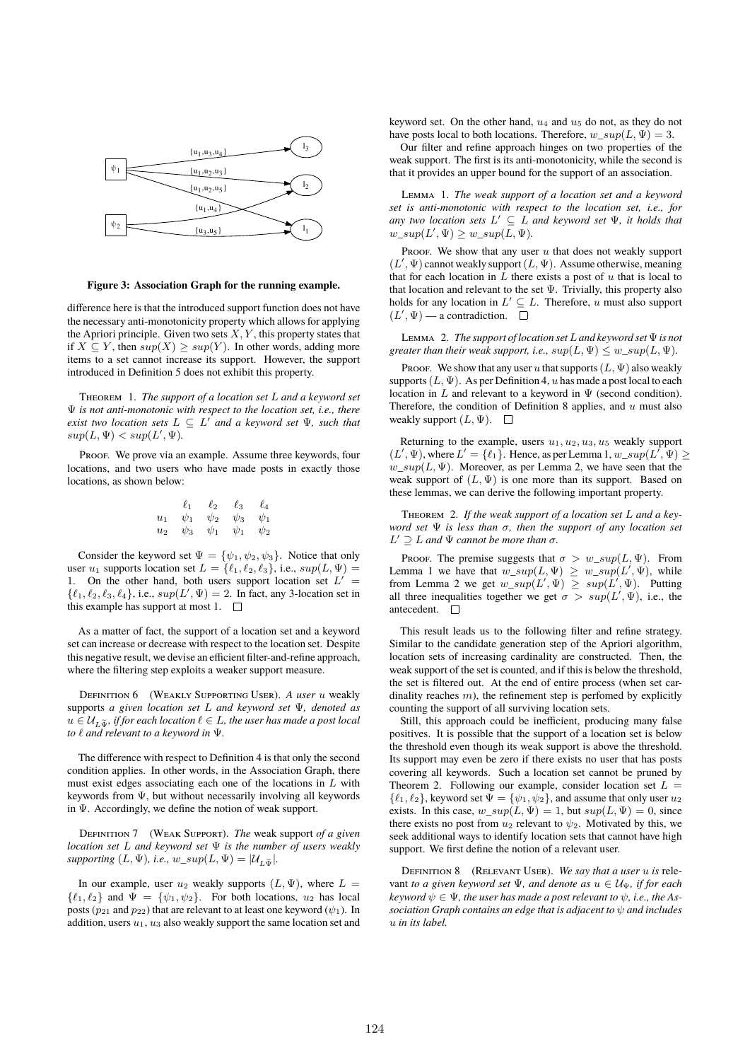

**Figure 3: Association Graph for the running example.**

difference here is that the introduced support function does not have the necessary anti-monotonicity property which allows for applying the Apriori principle. Given two sets  $X, Y$ , this property states that if  $X \subseteq Y$ , then  $sup(X) \geq sup(Y)$ . In other words, adding more items to a set cannot increase its support. However, the support introduced in Definition 5 does not exhibit this property.

Theorem 1. *The support of a location set* L *and a keyword set* Ψ *is not anti-monotonic with respect to the location set, i.e., there exist two location sets*  $L \subseteq L'$  *and a keyword set*  $\Psi$ *, such that*  $sup(L, \Psi) < sup(L', \Psi)$ .

PROOF. We prove via an example. Assume three keywords, four locations, and two users who have made posts in exactly those locations, as shown below:

$$
\begin{array}{ccc}\n\ell_1 & \ell_2 & \ell_3 & \ell_4 \\
u_1 & \psi_1 & \psi_2 & \psi_3 & \psi_1 \\
u_2 & \psi_3 & \psi_1 & \psi_1 & \psi_2\n\end{array}
$$

Consider the keyword set  $\Psi = {\psi_1, \psi_2, \psi_3}$ . Notice that only user  $u_1$  supports location set  $L = \{ \ell_1, \ell_2, \ell_3 \}$ , i.e.,  $sup(L, \Psi)$  = 1. On the other hand, both users support location set  $L' =$  $\{\ell_1, \ell_2, \ell_3, \ell_4\}, \text{ i.e., } \sup(L', \Psi) = 2. \text{ In fact, any 3-location set in }$ this example has support at most 1.  $\Box$ 

As a matter of fact, the support of a location set and a keyword set can increase or decrease with respect to the location set. Despite this negative result, we devise an efficient filter-and-refine approach, where the filtering step exploits a weaker support measure.

Definition 6 (Weakly Supporting User). *A user* u weakly supports *a given location set* L *and keyword set* Ψ*, denoted as*  $u \in \mathcal{U}_{L\tilde{\mathbf{w}}}$ , if for each location  $\ell \in L$ , the user has made a post local *to* ℓ *and relevant to a keyword in* Ψ*.*

The difference with respect to Definition 4 is that only the second condition applies. In other words, in the Association Graph, there must exist edges associating each one of the locations in  $L$  with keywords from Ψ, but without necessarily involving all keywords in Ψ. Accordingly, we define the notion of weak support.

Definition 7 (Weak Support). *The* weak support *of a given location set* L *and keyword set* Ψ *is the number of users weakly supporting*  $(L, \Psi)$ *, i.e.,*  $w\_sup(L, \Psi) = |\mathcal{U}_{L, \Psi}|$ *.* 

In our example, user  $u_2$  weakly supports  $(L, \Psi)$ , where  $L =$  $\{\ell_1, \ell_2\}$  and  $\Psi = \{\psi_1, \psi_2\}$ . For both locations,  $u_2$  has local posts ( $p_{21}$  and  $p_{22}$ ) that are relevant to at least one keyword ( $\psi_1$ ). In addition, users  $u_1$ ,  $u_3$  also weakly support the same location set and

keyword set. On the other hand,  $u_4$  and  $u_5$  do not, as they do not have posts local to both locations. Therefore,  $w \, \text{sup}(L, \Psi) = 3$ .

Our filter and refine approach hinges on two properties of the weak support. The first is its anti-monotonicity, while the second is that it provides an upper bound for the support of an association.

Lemma 1. *The weak support of a location set and a keyword set is anti-monotonic with respect to the location set, i.e., for any two location sets* L ′ ⊆ L *and keyword set* Ψ*, it holds that*  $w\_sup(L', \Psi) \geq w\_sup(\overline{L}, \Psi)$ .

Proof. We show that any user  $u$  that does not weakly support  $(L', \Psi)$  cannot weakly support  $(L, \Psi)$ . Assume otherwise, meaning that for each location in  $L$  there exists a post of  $u$  that is local to that location and relevant to the set  $\Psi$ . Trivially, this property also holds for any location in  $L' \subseteq L$ . Therefore, u must also support  $(L', \Psi)$  — a contradiction.

Lemma 2. *The support of location set*L*and keyword set*Ψ*is not greater than their weak support, i.e.,*  $sup(L, \Psi) \leq w\_sup(L, \Psi)$ .

Proof. We show that any user u that supports  $(L, \Psi)$  also weakly supports  $(L, \Psi)$ . As per Definition 4, u has made a post local to each location in L and relevant to a keyword in  $\Psi$  (second condition). Therefore, the condition of Definition 8 applies, and  $u$  must also weakly support  $(L, \Psi)$ .  $\square$ 

Returning to the example, users  $u_1, u_2, u_3, u_5$  weakly support  $(L', \Psi)$ , where  $L' = \{\ell_1\}$ . Hence, as per Lemma 1,  $w\_sup(L', \Psi) \ge$ w  $sup(L, \Psi)$ . Moreover, as per Lemma 2, we have seen that the weak support of  $(L, \Psi)$  is one more than its support. Based on these lemmas, we can derive the following important property.

Theorem 2. *If the weak support of a location set* L *and a keyword set* Ψ *is less than* σ*, then the support of any location set*  $L' \supseteq L$  *and*  $\Psi$  *cannot be more than*  $\sigma$ *.* 

Proof. The premise suggests that  $\sigma > w\_sup(L, \Psi)$ . From Lemma 1 we have that  $w\_sup(L, \Psi) \geq w\_sup(L', \Psi)$ , while from Lemma 2 we get  $w\_sup(L', \Psi) \geq sup(L', \Psi)$ . Putting all three inequalities together we get  $\sigma > sup(L', \Psi)$ , i.e., the antecedent.  $\square$ 

This result leads us to the following filter and refine strategy. Similar to the candidate generation step of the Apriori algorithm, location sets of increasing cardinality are constructed. Then, the weak support of the set is counted, and if this is below the threshold, the set is filtered out. At the end of entire process (when set cardinality reaches  $m$ ), the refinement step is perfomed by explicitly counting the support of all surviving location sets.

Still, this approach could be inefficient, producing many false positives. It is possible that the support of a location set is below the threshold even though its weak support is above the threshold. Its support may even be zero if there exists no user that has posts covering all keywords. Such a location set cannot be pruned by Theorem 2. Following our example, consider location set  $L =$  $\{\ell_1, \ell_2\}$ , keyword set  $\bar{\Psi} = {\psi_1, \psi_2}$ , and assume that only user  $u_2$ exists. In this case,  $w\_sup(L, \Psi) = 1$ , but  $sup(L, \Psi) = 0$ , since there exists no post from  $u_2$  relevant to  $\psi_2$ . Motivated by this, we seek additional ways to identify location sets that cannot have high support. We first define the notion of a relevant user.

Definition 8 (Relevant User). *We say that a user* u *is* relevant *to a given keyword set*  $\Psi$ *, and denote as*  $u \in \mathcal{U}_{\Psi}$ *, if for each*  $keyword \psi \in \Psi$ , the user has made a post relevant to  $\psi$ , i.e., the As*sociation Graph contains an edge that is adjacent to* ψ *and includes* u *in its label.*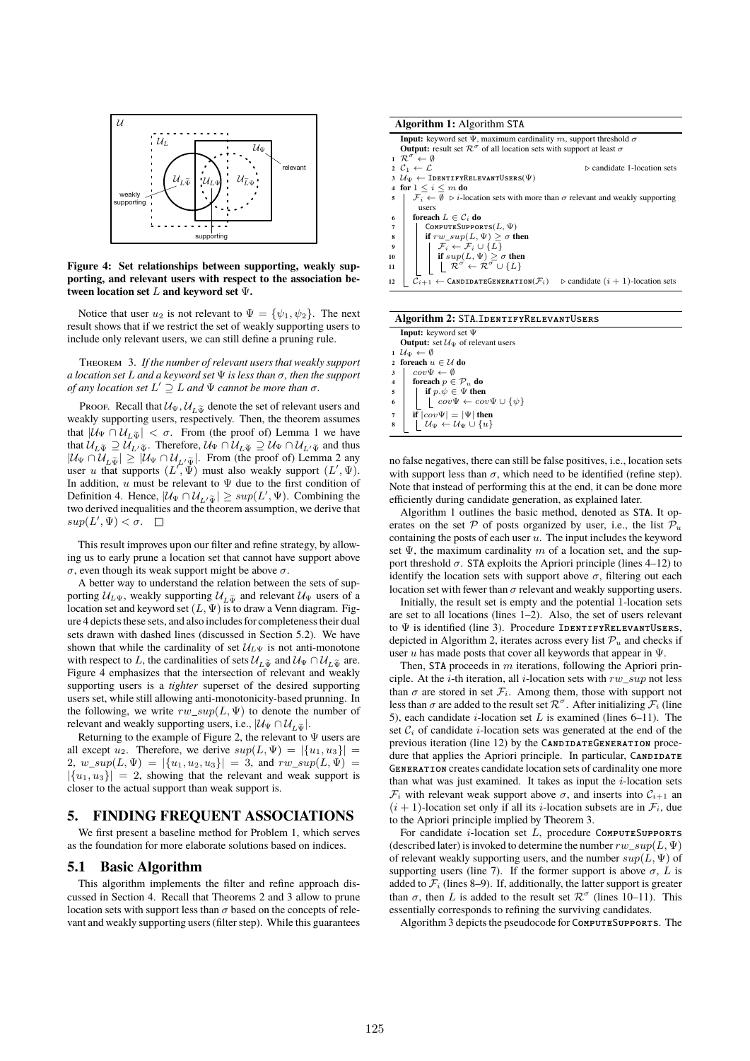

**Figure 4: Set relationships between supporting, weakly supporting, and relevant users with respect to the association between location set** L **and keyword set** Ψ**.**

Notice that user  $u_2$  is not relevant to  $\Psi = {\psi_1, \psi_2}$ . The next result shows that if we restrict the set of weakly supporting users to include only relevant users, we can still define a pruning rule.

Theorem 3. *If the number of relevant users that weakly support a location set* L *and a keyword set* Ψ *is less than* σ*, then the support of any location set* L ′ ⊇ L *and* Ψ *cannot be more than* σ*.*

Proof. Recall that  $\mathcal{U}_{\Psi}$ ,  $\mathcal{U}_{L\tilde{\Psi}}$  denote the set of relevant users and weakly supporting users, respectively. Then, the theorem assumes that  $|\mathcal{U}_{\Psi} \cap \mathcal{U}_{L\tilde{\Psi}}| < \sigma$ . From (the proof of) Lemma 1 we have that  $\mathcal{U}_{L\widetilde{\Psi}}\supseteq\mathcal{U}_{L'\widetilde{\Psi}}$ . Therefore,  $\mathcal{U}_{\Psi}\cap\mathcal{U}_{L\widetilde{\Psi}}\supseteq\mathcal{U}_{\Psi}\cap\mathcal{U}_{L'\widetilde{\Psi}}$  and thus  $|\mathcal{U}_{\Psi} \cap \mathcal{U}_{L\tilde{\Psi}}| \geq |\mathcal{U}_{\Psi} \cap \mathcal{U}_{L'\tilde{\Psi}}|$ . From (the proof of) Lemma 2 any user u that supports  $(L', \Psi)$  must also weakly support  $(L', \Psi)$ . In addition, u must be relevant to  $\Psi$  due to the first condition of Definition 4. Hence,  $|\mathcal{U}_{\Psi} \cap \mathcal{U}_{L} \times \tilde{\Psi}| \geq \sup(L', \Psi)$ . Combining the two derived inequalities and the theorem assumption, we derive that  $sup(L', \Psi) < \sigma.$ 

This result improves upon our filter and refine strategy, by allowing us to early prune a location set that cannot have support above σ, even though its weak support might be above σ.

A better way to understand the relation between the sets of supporting  $U_{L\Psi}$ , weakly supporting  $U_{L\Psi}$  and relevant  $U_{\Psi}$  users of a location set and keyword set  $(L, \Psi)$  is to draw a Venn diagram. Figure 4 depicts these sets, and also includes for completeness their dual sets drawn with dashed lines (discussed in Section 5.2). We have shown that while the cardinality of set  $\mathcal{U}_{L\Psi}$  is not anti-monotone with respect to L, the cardinalities of sets  $\mathcal{U}_{L\tilde{\Psi}}$  and  $\mathcal{U}_{\Psi} \cap \mathcal{U}_{L\tilde{\Psi}}$  are. Figure 4 emphasizes that the intersection of relevant and weakly supporting users is a *tighter* superset of the desired supporting users set, while still allowing anti-monotonicity-based prunning. In the following, we write  $rw\_sup(L, \Psi)$  to denote the number of relevant and weakly supporting users, i.e.,  $|\mathcal{U}_{\Psi} \cap \mathcal{U}_{L\tilde{\Psi}}|$ .

Returning to the example of Figure 2, the relevant to  $\Psi$  users are all except  $u_2$ . Therefore, we derive  $sup(L, \Psi) = |\{u_1, u_3\}|$ 2,  $w\_sup(L, \Psi) = |\{u_1, u_2, u_3\}| = 3$ , and  $rw\_sup(L, \Psi) =$  $|\{u_1, u_3\}| = 2$ , showing that the relevant and weak support is closer to the actual support than weak support is.

#### 5. FINDING FREQUENT ASSOCIATIONS

We first present a baseline method for Problem 1, which serves as the foundation for more elaborate solutions based on indices.

#### 5.1 Basic Algorithm

This algorithm implements the filter and refine approach discussed in Section 4. Recall that Theorems 2 and 3 allow to prune location sets with support less than  $\sigma$  based on the concepts of relevant and weakly supporting users (filter step). While this guarantees



#### **Algorithm 2:** STA.IdentifyRelevantUsers

|                         | <b>Input:</b> keyword set $\Psi$                                |
|-------------------------|-----------------------------------------------------------------|
|                         | <b>Output:</b> set $\mathcal{U}_{\Psi}$ of relevant users       |
|                         | $1 \mathcal{U}_{\Psi} \leftarrow \emptyset$                     |
|                         | 2 foreach $u \in \mathcal{U}$ do                                |
| $\overline{\mathbf{3}}$ | $cov\Psi \leftarrow \emptyset$                                  |
| $\overline{4}$          | foreach $p \in \mathcal{P}_u$ do                                |
| $\overline{\mathbf{5}}$ | if $p.\psi \in \Psi$ then                                       |
| 6                       | $\left  \quad cov\Psi \leftarrow cov\Psi \cup \{\psi\} \right $ |
|                         | if $ cov\Psi  =  \Psi $ then                                    |
|                         | $\mathcal{U}_{\Psi} \leftarrow \mathcal{U}_{\Psi} \cup \{u\}$   |

no false negatives, there can still be false positives, i.e., location sets with support less than  $\sigma$ , which need to be identified (refine step). Note that instead of performing this at the end, it can be done more efficiently during candidate generation, as explained later.

Algorithm 1 outlines the basic method, denoted as STA. It operates on the set P of posts organized by user, i.e., the list  $\mathcal{P}_u$ containing the posts of each user  $u$ . The input includes the keyword set  $\Psi$ , the maximum cardinality m of a location set, and the support threshold  $\sigma$ . STA exploits the Apriori principle (lines 4–12) to identify the location sets with support above  $\sigma$ , filtering out each location set with fewer than  $\sigma$  relevant and weakly supporting users.

Initially, the result set is empty and the potential 1-location sets are set to all locations (lines 1–2). Also, the set of users relevant to  $\Psi$  is identified (line 3). Procedure IDENTIFYRELEVANTUSERS, depicted in Algorithm 2, iterates across every list  $\mathcal{P}_u$  and checks if user u has made posts that cover all keywords that appear in  $\Psi$ .

Then, STA proceeds in  $m$  iterations, following the Apriori principle. At the *i*-th iteration, all *i*-location sets with  $rw\_sup$  not less than  $\sigma$  are stored in set  $\mathcal{F}_i$ . Among them, those with support not less than  $\sigma$  are added to the result set  $\mathcal{R}^{\sigma}$ . After initializing  $\mathcal{F}_i$  (line 5), each candidate *i*-location set  $L$  is examined (lines 6–11). The set  $C_i$  of candidate *i*-location sets was generated at the end of the previous iteration (line 12) by the CANDIDATEGENERATION procedure that applies the Apriori principle. In particular, CANDIDATE Generation creates candidate location sets of cardinality one more than what was just examined. It takes as input the  $i$ -location sets  $\mathcal{F}_i$  with relevant weak support above  $\sigma$ , and inserts into  $\mathcal{C}_{i+1}$  and  $(i + 1)$ -location set only if all its *i*-location subsets are in  $\mathcal{F}_i$ , due to the Apriori principle implied by Theorem 3.

For candidate  $i$ -location set  $L$ , procedure COMPUTESUPPORTS (described later) is invoked to determine the number  $rw\ \sup(L, \Psi)$ of relevant weakly supporting users, and the number  $sup(L, \Psi)$  of supporting users (line 7). If the former support is above  $\sigma$ , L is added to  $\mathcal{F}_i$  (lines 8–9). If, additionally, the latter support is greater than  $\sigma$ , then L is added to the result set  $\mathcal{R}^{\sigma}$  (lines 10–11). This essentially corresponds to refining the surviving candidates.

Algorithm 3 depicts the pseudocode for ComputeSupports. The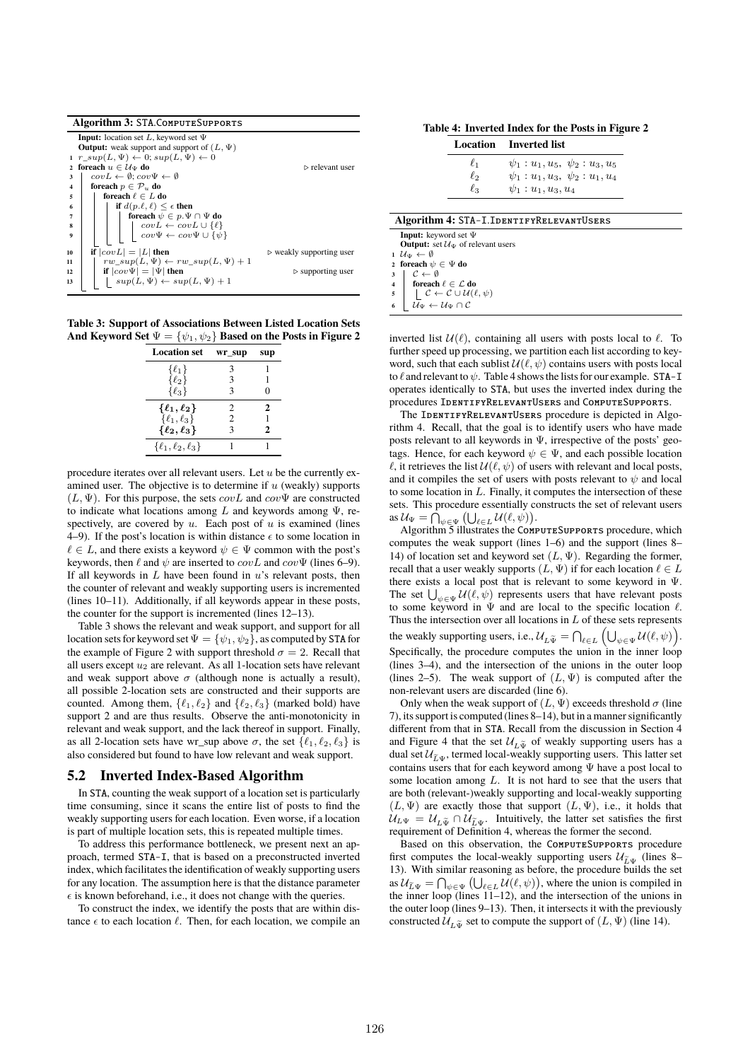|              | Algorithm 3: STA.ComputeSupports                                                                              |                                         |
|--------------|---------------------------------------------------------------------------------------------------------------|-----------------------------------------|
|              | <b>Input:</b> location set L, keyword set $\Psi$                                                              |                                         |
|              | <b>Output:</b> weak support and support of $(L, \Psi)$                                                        |                                         |
|              | $1 r \, sup(L, \Psi) \leftarrow 0; sup(L, \Psi) \leftarrow 0$                                                 |                                         |
| $\mathbf{2}$ | foreach $u \in \mathcal{U}_{\Psi}$ do                                                                         | $\triangleright$ relevant user          |
| 3            | $covL \leftarrow \emptyset$ : $cov\Psi \leftarrow \emptyset$                                                  |                                         |
| 4            | foreach $p \in \mathcal{P}_u$ do                                                                              |                                         |
| 5            | foreach $\ell \in L$ do                                                                                       |                                         |
| 6            | if $d(p,\ell,\ell) \leq \epsilon$ then                                                                        |                                         |
| 7            | for<br>each $\psi \in p . \Psi \cap \Psi$ do                                                                  |                                         |
| 8            | $\begin{array}{c} covL \leftarrow covL \cup \{\ell\} \\ cov\Psi \leftarrow cov\Psi \cup \{\psi\} \end{array}$ |                                         |
| Q            |                                                                                                               |                                         |
| 10           | if $ covL  =  L $ then                                                                                        | $\triangleright$ weakly supporting user |
| 11           | $rw\_sup(L, \Psi) \leftarrow rw\_sup(L, \Psi) + 1$                                                            |                                         |
| 12           | if $ cov\Psi  =  \Psi $ then                                                                                  | $\triangleright$ supporting user        |
| 13           | $sup(L, \Psi) \leftarrow sup(L, \Psi) + 1$                                                                    |                                         |

**Table 3: Support of Associations Between Listed Location Sets** And Keyword Set  $\Psi = {\psi_1, \psi_2}$  Based on the Posts in Figure 2

| <b>Location set</b>        | wr_sup         | sup |
|----------------------------|----------------|-----|
| $\{\ell_1\}$               | 3              |     |
| $\{\ell_2\}$               | 3              | 1   |
| $\{\ell_3\}$               | 3              | 0   |
| $\{\ell_1,\ell_2\}$        | 2              | 2   |
| $\{\ell_1,\ell_3\}$        | $\mathfrak{D}$ |     |
| $\{\ell_2,\ell_3\}$        | 3              | 2   |
| $\{\ell_1,\ell_2,\ell_3\}$ |                |     |

procedure iterates over all relevant users. Let  $u$  be the currently examined user. The objective is to determine if  $u$  (weakly) supports  $(L, \Psi)$ . For this purpose, the sets  $covL$  and  $cov\Psi$  are constructed to indicate what locations among L and keywords among  $\Psi$ , respectively, are covered by  $u$ . Each post of  $u$  is examined (lines 4–9). If the post's location is within distance  $\epsilon$  to some location in  $\ell \in L$ , and there exists a keyword  $\psi \in \Psi$  common with the post's keywords, then  $\ell$  and  $\psi$  are inserted to  $covL$  and  $cov\Psi$  (lines 6–9). If all keywords in  $L$  have been found in  $u$ 's relevant posts, then the counter of relevant and weakly supporting users is incremented (lines 10–11). Additionally, if all keywords appear in these posts, the counter for the support is incremented (lines 12–13).

Table 3 shows the relevant and weak support, and support for all location sets for keyword set  $\Psi = {\psi_1, \psi_2}$ , as computed by STA for the example of Figure 2 with support threshold  $\sigma = 2$ . Recall that all users except  $u_2$  are relevant. As all 1-location sets have relevant and weak support above  $\sigma$  (although none is actually a result), all possible 2-location sets are constructed and their supports are counted. Among them,  $\{\ell_1, \ell_2\}$  and  $\{\ell_2, \ell_3\}$  (marked bold) have support 2 and are thus results. Observe the anti-monotonicity in relevant and weak support, and the lack thereof in support. Finally, as all 2-location sets have wr\_sup above  $\sigma$ , the set  $\{\ell_1, \ell_2, \ell_3\}$  is also considered but found to have low relevant and weak support.

#### 5.2 Inverted Index-Based Algorithm

In STA, counting the weak support of a location set is particularly time consuming, since it scans the entire list of posts to find the weakly supporting users for each location. Even worse, if a location is part of multiple location sets, this is repeated multiple times.

To address this performance bottleneck, we present next an approach, termed STA-I, that is based on a preconstructed inverted index, which facilitates the identification of weakly supporting users for any location. The assumption here is that the distance parameter  $\epsilon$  is known beforehand, i.e., it does not change with the queries.

To construct the index, we identify the posts that are within distance  $\epsilon$  to each location  $\ell$ . Then, for each location, we compile an

**Table 4: Inverted Index for the Posts in Figure 2**

|                                                                                |                                                                  | $\frac{1}{2}$ inverted matrix for the 1 0010 m 1 igure 1 |  |
|--------------------------------------------------------------------------------|------------------------------------------------------------------|----------------------------------------------------------|--|
|                                                                                |                                                                  | Location Inverted list                                   |  |
|                                                                                | $\ell_1$                                                         | $\psi_1: u_1, u_5, \psi_2: u_3, u_5$                     |  |
|                                                                                | $\ell_2$                                                         | $\psi_1: u_1, u_3, \psi_2: u_1, u_4$                     |  |
|                                                                                | $\ell_3$                                                         | $\psi_1: u_1, u_3, u_4$                                  |  |
|                                                                                |                                                                  |                                                          |  |
|                                                                                |                                                                  | Algorithm 4: STA-I.IDENTIFYRELEVANTUSERS                 |  |
| <b>Input:</b> keyword set $\Psi$                                               |                                                                  |                                                          |  |
|                                                                                | <b>Output:</b> set $\mathcal{U}_{\Psi}$ of relevant users        |                                                          |  |
| $1 \mathcal{U}_{\Psi} \leftarrow \emptyset$                                    |                                                                  |                                                          |  |
| foreach $\psi \in \Psi$ do                                                     |                                                                  |                                                          |  |
| $\mathcal{C} \leftarrow \emptyset$<br>3                                        |                                                                  |                                                          |  |
| foreach $\ell \in \mathcal{L}$ do                                              |                                                                  |                                                          |  |
| 5                                                                              | $\mathcal{L} \leftarrow \mathcal{C} \cup \mathcal{U}(\ell,\psi)$ |                                                          |  |
| $\bar{\mathcal{U}}_{\Psi} \leftarrow \mathcal{U}_{\Psi} \cap \mathcal{C}$<br>6 |                                                                  |                                                          |  |

inverted list  $\mathcal{U}(\ell)$ , containing all users with posts local to  $\ell$ . To further speed up processing, we partition each list according to keyword, such that each sublist  $\mathcal{U}(\ell, \psi)$  contains users with posts local to  $\ell$  and relevant to  $\psi$ . Table 4 shows the lists for our example. STA-I operates identically to STA, but uses the inverted index during the procedures IdentifyRelevantUsers and ComputeSupports.

The IDENTIFYRELEVANTUSERS procedure is depicted in Algorithm 4. Recall, that the goal is to identify users who have made posts relevant to all keywords in  $\Psi$ , irrespective of the posts' geotags. Hence, for each keyword  $\psi \in \Psi$ , and each possible location  $\ell$ , it retrieves the list  $\mathcal{U}(\ell, \psi)$  of users with relevant and local posts, and it compiles the set of users with posts relevant to  $\psi$  and local to some location in  $L$ . Finally, it computes the intersection of these sets. This procedure essentially constructs the set of relevant users as  $\mathcal{U}_{\Psi} = \bigcap_{\psi \in \Psi} (\bigcup_{\ell \in L} \mathcal{U}(\ell, \psi)).$ 

Algorithm 5 illustrates the COMPUTESUPPORTS procedure, which computes the weak support (lines 1–6) and the support (lines 8– 14) of location set and keyword set  $(L, \Psi)$ . Regarding the former, recall that a user weakly supports  $(L, \Psi)$  if for each location  $\ell \in L$ there exists a local post that is relevant to some keyword in  $\Psi$ . The set  $\bigcup_{\psi \in \Psi} \mathcal{U}(\ell, \psi)$  represents users that have relevant posts to some keyword in  $\Psi$  and are local to the specific location  $\ell$ . Thus the intersection over all locations in  $L$  of these sets represents the weakly supporting users, i.e.,  $\mathcal{U}_{L\tilde{\Psi}} = \bigcap_{\ell \in L} \left( \bigcup_{\psi \in \Psi} \mathcal{U}(\ell, \psi) \right)$ . Specifically, the procedure computes the union in the inner loop (lines 3–4), and the intersection of the unions in the outer loop (lines 2–5). The weak support of  $(L, \Psi)$  is computed after the non-relevant users are discarded (line 6).

Only when the weak support of  $(L, \Psi)$  exceeds threshold  $\sigma$  (line 7), its support is computed (lines 8–14), but in a manner significantly different from that in STA. Recall from the discussion in Section 4 and Figure 4 that the set  $\mathcal{U}_{L\tilde{\mathbf{w}}}$  of weakly supporting users has a dual set  $\mathcal{U}_{\tilde{L},\Psi}$ , termed local-weakly supporting users. This latter set contains users that for each keyword among  $\Psi$  have a post local to some location among  $L$ . It is not hard to see that the users that are both (relevant-)weakly supporting and local-weakly supporting  $(L, \Psi)$  are exactly those that support  $(L, \Psi)$ , i.e., it holds that  $U_{L\Psi} = U_{L\Psi} \cap U_{\tilde{L}\Psi}$ . Intuitively, the latter set satisfies the first requirement of Definition 4, whereas the former the second.

Based on this observation, the COMPUTESUPPORTS procedure first computes the local-weakly supporting users  $\mathcal{U}_{\tilde{L}\Psi}$  (lines 8– 13). With similar reasoning as before, the procedure builds the set as  $\mathcal{U}_{\tilde{L}\Psi} = \bigcap_{\psi \in \Psi} (\bigcup_{\ell \in L} \mathcal{U}(\ell, \psi)),$  where the union is compiled in the inner loop (lines 11–12), and the intersection of the unions in the outer loop (lines 9–13). Then, it intersects it with the previously constructed  $\mathcal{U}_{L\tilde{\Psi}}$  set to compute the support of  $(L, \Psi)$  (line 14).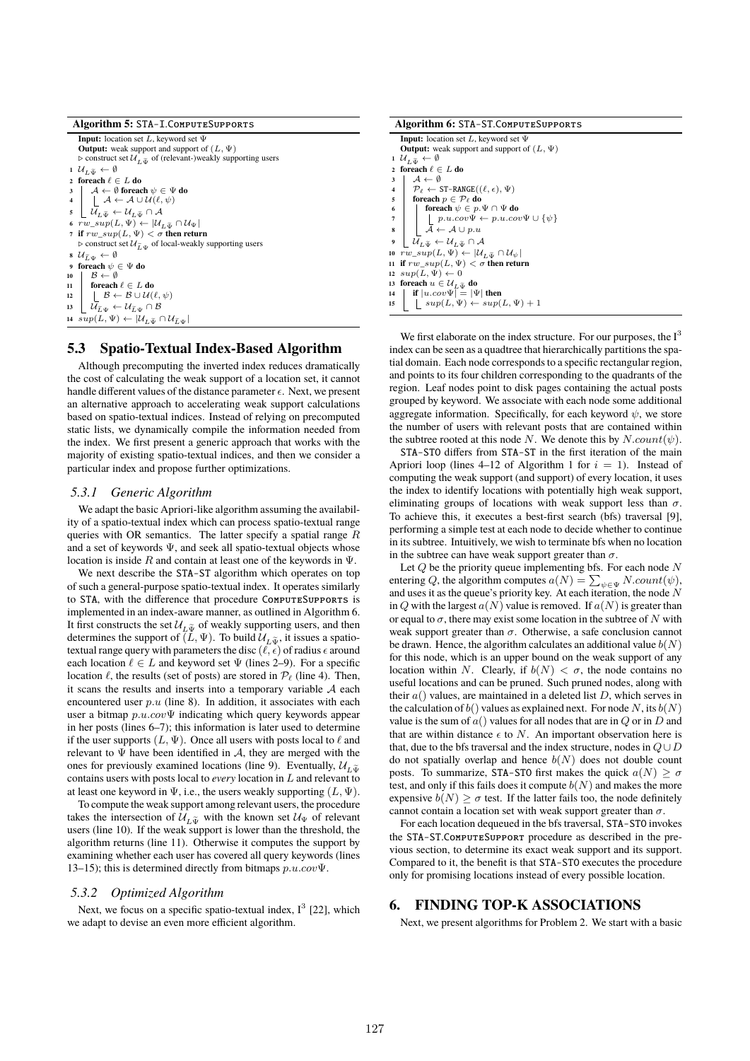| Algorithm 5: STA-I.ComputeSupports                                                                                                                                                                        |  |
|-----------------------------------------------------------------------------------------------------------------------------------------------------------------------------------------------------------|--|
| <b>Input:</b> location set L, keyword set $\Psi$                                                                                                                                                          |  |
| <b>Output:</b> weak support and support of $(L, \Psi)$                                                                                                                                                    |  |
| $\triangleright$ construct set $\mathcal{U}_{\tau,\tilde{x}}$ of (relevant-)weakly supporting users                                                                                                       |  |
| $1 \mathcal{U}_{\tau \tilde{\pi}_{t}} \leftarrow \emptyset$                                                                                                                                               |  |
| 2 foreach $\ell \in L$ do                                                                                                                                                                                 |  |
|                                                                                                                                                                                                           |  |
| $\begin{array}{c c} \mathbf{3} & \mathcal{A} \leftarrow \emptyset \text{ for each } \psi \in \Psi \text{ do} \\ \mathbf{4} & \mathcal{L} \leftarrow \mathcal{A} \cup \mathcal{U}(\ell, \psi) \end{array}$ |  |
| $\mathcal{U}_{I,\tilde{x}_{I}} \leftarrow \mathcal{U}_{I,\tilde{x}_{I}} \cap \mathcal{A}$<br>5                                                                                                            |  |
| 6 $rw\_sup(L, \Psi) \leftarrow  \mathcal{U}_{\tau, \tilde{\pi}} \cap \mathcal{U}_{\Psi} $                                                                                                                 |  |
| 7 if $rw \, \, sup(L, \Psi) < \sigma$ then return                                                                                                                                                         |  |
| $\triangleright$ construct set $\mathcal{U}_{\tilde{L},\tilde{W}}$ of local-weakly supporting users                                                                                                       |  |
| 8 $\mathcal{U}_{\tilde{r},\tilde{u}} \leftarrow \emptyset$                                                                                                                                                |  |
| foreach $\psi \in \Psi$ do<br>9                                                                                                                                                                           |  |
| $B \leftarrow \emptyset$<br>10                                                                                                                                                                            |  |
| 11   foreach $\ell \in L$ do                                                                                                                                                                              |  |
| 12   $\beta \leftarrow \beta \cup \mathcal{U}(\ell, \psi)$                                                                                                                                                |  |
| $  \mathcal{U}_{\tilde{L},\tilde{W}} \leftarrow \mathcal{U}_{\tilde{L},\tilde{W}} \cap \mathcal{B}$<br>13                                                                                                 |  |
| 14 $sup(L, \Psi) \leftarrow  U_{L, \tilde{\Psi}} \cap U_{\tilde{L}, \Psi} $                                                                                                                               |  |

#### 5.3 Spatio-Textual Index-Based Algorithm

Although precomputing the inverted index reduces dramatically the cost of calculating the weak support of a location set, it cannot handle different values of the distance parameter  $\epsilon$ . Next, we present an alternative approach to accelerating weak support calculations based on spatio-textual indices. Instead of relying on precomputed static lists, we dynamically compile the information needed from the index. We first present a generic approach that works with the majority of existing spatio-textual indices, and then we consider a particular index and propose further optimizations.

#### *5.3.1 Generic Algorithm*

We adapt the basic Apriori-like algorithm assuming the availability of a spatio-textual index which can process spatio-textual range queries with OR semantics. The latter specify a spatial range  $R$ and a set of keywords  $\Psi$ , and seek all spatio-textual objects whose location is inside  $R$  and contain at least one of the keywords in  $\Psi$ .

We next describe the STA-ST algorithm which operates on top of such a general-purpose spatio-textual index. It operates similarly to STA, with the difference that procedure ComputeSupports is implemented in an index-aware manner, as outlined in Algorithm 6. It first constructs the set  $\mathcal{U}_{L\tilde{\Psi}}$  of weakly supporting users, and then determines the support of  $(L, \Psi)$ . To build  $\mathcal{U}_{L\tilde{\Psi}}$ , it issues a spatiotextual range query with parameters the disc  $(\ell, \epsilon)$  of radius  $\epsilon$  around each location  $\ell \in L$  and keyword set  $\Psi$  (lines 2–9). For a specific location  $\ell$ , the results (set of posts) are stored in  $\mathcal{P}_{\ell}$  (line 4). Then, it scans the results and inserts into a temporary variable  $A$  each encountered user  $p.u$  (line 8). In addition, it associates with each user a bitmap  $p.u.cov\Psi$  indicating which query keywords appear in her posts (lines 6–7); this information is later used to determine if the user supports  $(L, \Psi)$ . Once all users with posts local to  $\ell$  and relevant to  $\Psi$  have been identified in A, they are merged with the ones for previously examined locations (line 9). Eventually,  $\mathcal{U}_{\tau \tilde{w}}$ contains users with posts local to *every* location in L and relevant to at least one keyword in  $\Psi$ , i.e., the users weakly supporting  $(L, \Psi)$ .

To compute the weak support among relevant users, the procedure takes the intersection of  $\mathcal{U}_{L\tilde{\Psi}}$  with the known set  $\mathcal{U}_{\Psi}$  of relevant users (line 10). If the weak support is lower than the threshold, the algorithm returns (line 11). Otherwise it computes the support by examining whether each user has covered all query keywords (lines 13–15); this is determined directly from bitmaps  $p.u.cov\Psi$ .

#### *5.3.2 Optimized Algorithm*

Next, we focus on a specific spatio-textual index,  $I^3$  [22], which we adapt to devise an even more efficient algorithm.

#### **Algorithm 6:** STA-ST.ComputeSupports

**Input:** location set L, keyword set Ψ **Output:** weak support and support of  $(L, \Psi)$ 1  $U_{L\tilde{\Psi}} \leftarrow \emptyset$ <br>2 foreach  $\ell \in$ **foreach**  $\ell \in L$  **do**  $\begin{array}{c|c}\n\mathbf{3} & \mathcal{A} \leftarrow \emptyset \\
\mathcal{P}_{\ell} \leftarrow \texttt{ST-RANGE}((\ell, \epsilon), \Psi)\n\end{array}$  $\mathbf{5}$  **foreach**  $p \in \mathcal{P}_{\ell}$  **do foreach**  $\psi \in p \Psi \cap \Psi$  **do**  $\vert p.u.cov \Psi \leftarrow p.u.cov \Psi \cup {\psi}$  $\overleftarrow{A} \leftarrow \mathcal{A} \cup p.u$ **9**  $\bigcup \overline{\mathcal{U}}_{L\tilde{\Psi}} \leftarrow \mathcal{U}_{L\tilde{\Psi}} \cap \mathcal{A}$ <br> **10**  $rw \sup(L, \Psi) \leftarrow |\mathcal{U}|$  $rw\_sup(L, \Psi) \leftarrow |\mathcal{U}_{L \tilde{\Psi}} \cap \mathcal{U}_{\psi}|$ **11 if**  $rw\_sup(L, \Psi) < \sigma$  **then return** 12  $sup(L, \Psi) \leftarrow 0$ **13 foreach**  $u \in \mathcal{U}_{L,\tilde{\Psi}}$  **do**<br> **14 d if**  $|u.cov\Psi| = |\Psi|$  **then 15**  $\left| \quad sup(L, \Psi) \leftarrow sup(L, \Psi) + 1 \right|$ 

We first elaborate on the index structure. For our purposes, the  $I<sup>3</sup>$ index can be seen as a quadtree that hierarchically partitions the spatial domain. Each node corresponds to a specific rectangular region, and points to its four children corresponding to the quadrants of the region. Leaf nodes point to disk pages containing the actual posts grouped by keyword. We associate with each node some additional aggregate information. Specifically, for each keyword  $\psi$ , we store the number of users with relevant posts that are contained within the subtree rooted at this node N. We denote this by  $N.count(\psi)$ .

STA-STO differs from STA-ST in the first iteration of the main Apriori loop (lines 4–12 of Algorithm 1 for  $i = 1$ ). Instead of computing the weak support (and support) of every location, it uses the index to identify locations with potentially high weak support, eliminating groups of locations with weak support less than  $\sigma$ . To achieve this, it executes a best-first search (bfs) traversal [9], performing a simple test at each node to decide whether to continue in its subtree. Intuitively, we wish to terminate bfs when no location in the subtree can have weak support greater than  $\sigma$ .

Let  $Q$  be the priority queue implementing bfs. For each node  $N$ entering Q, the algorithm computes  $a(N) = \sum_{\psi \in \Psi} N.count(\psi)$ , and uses it as the queue's priority key. At each iteration, the node N in Q with the largest  $a(N)$  value is removed. If  $a(N)$  is greater than or equal to  $\sigma$ , there may exist some location in the subtree of N with weak support greater than  $\sigma$ . Otherwise, a safe conclusion cannot be drawn. Hence, the algorithm calculates an additional value  $b(N)$ for this node, which is an upper bound on the weak support of any location within N. Clearly, if  $b(N) < \sigma$ , the node contains no useful locations and can be pruned. Such pruned nodes, along with their  $a()$  values, are maintained in a deleted list  $D$ , which serves in the calculation of  $b()$  values as explained next. For node N, its  $b(N)$ value is the sum of  $a()$  values for all nodes that are in  $Q$  or in  $D$  and that are within distance  $\epsilon$  to N. An important observation here is that, due to the bfs traversal and the index structure, nodes in  $Q \cup D$ do not spatially overlap and hence  $b(N)$  does not double count posts. To summarize, STA-STO first makes the quick  $a(N) \ge \sigma$ test, and only if this fails does it compute  $b(N)$  and makes the more expensive  $b(N) \geq \sigma$  test. If the latter fails too, the node definitely cannot contain a location set with weak support greater than  $\sigma$ .

For each location dequeued in the bfs traversal, STA-STO invokes the STA-ST.ComputeSupport procedure as described in the previous section, to determine its exact weak support and its support. Compared to it, the benefit is that STA-STO executes the procedure only for promising locations instead of every possible location.

## 6. FINDING TOP-K ASSOCIATIONS

Next, we present algorithms for Problem 2. We start with a basic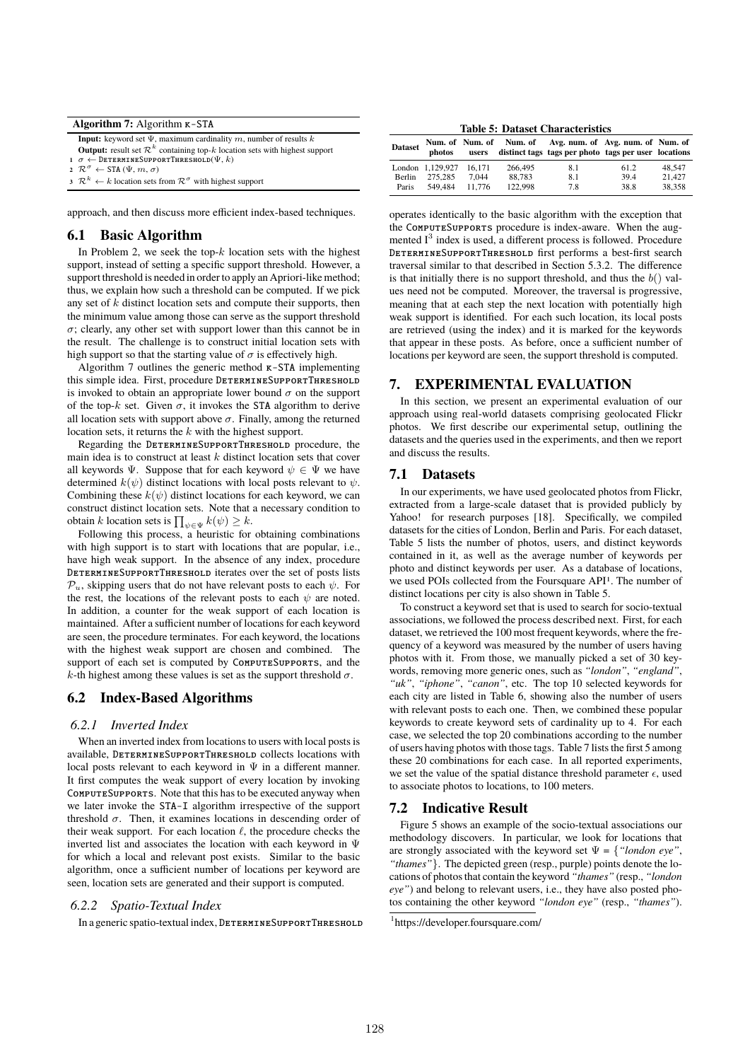| Algorithm 7: Algorithm $K-STA$                                                                   |
|--------------------------------------------------------------------------------------------------|
| <b>Input:</b> keyword set $\Psi$ , maximum cardinality m, number of results k                    |
| <b>Output:</b> result set $\mathcal{R}^k$ containing top- $k$ location sets with highest support |
| $1 \sigma \leftarrow$ DETERMINESUPPORTTHRESHOLD $(\Psi, k)$                                      |
| 2 $\mathcal{R}^{\sigma} \leftarrow \text{STA}(\Psi, m, \sigma)$                                  |
| $3 \mathcal{R}^k \leftarrow k$ location sets from $\mathcal{R}^{\sigma}$ with highest support    |

approach, and then discuss more efficient index-based techniques.

#### 6.1 Basic Algorithm

In Problem 2, we seek the top- $k$  location sets with the highest support, instead of setting a specific support threshold. However, a support threshold is needed in order to apply an Apriori-like method; thus, we explain how such a threshold can be computed. If we pick any set of  $k$  distinct location sets and compute their supports, then the minimum value among those can serve as the support threshold  $\sigma$ ; clearly, any other set with support lower than this cannot be in the result. The challenge is to construct initial location sets with high support so that the starting value of  $\sigma$  is effectively high.

Algorithm 7 outlines the generic method  $\kappa$ -STA implementing this simple idea. First, procedure DETERMINESUPPORTTHRESHOLD is invoked to obtain an appropriate lower bound  $\sigma$  on the support of the top-k set. Given  $\sigma$ , it invokes the STA algorithm to derive all location sets with support above  $\sigma$ . Finally, among the returned location sets, it returns the k with the highest support.

Regarding the DETERMINESUPPORTTHRESHOLD procedure, the main idea is to construct at least  $k$  distinct location sets that cover all keywords  $\Psi$ . Suppose that for each keyword  $\psi \in \Psi$  we have determined  $k(\psi)$  distinct locations with local posts relevant to  $\psi$ . Combining these  $k(\psi)$  distinct locations for each keyword, we can construct distinct location sets. Note that a necessary condition to obtain  $k$  location sets is  $\prod_{\psi \in \Psi} k(\psi) \geq k.$ 

Following this process, a heuristic for obtaining combinations with high support is to start with locations that are popular, i.e., have high weak support. In the absence of any index, procedure DetermineSupportThreshold iterates over the set of posts lists  $\mathcal{P}_u$ , skipping users that do not have relevant posts to each  $\psi$ . For the rest, the locations of the relevant posts to each  $\psi$  are noted. In addition, a counter for the weak support of each location is maintained. After a sufficient number of locations for each keyword are seen, the procedure terminates. For each keyword, the locations with the highest weak support are chosen and combined. The support of each set is computed by COMPUTESUPPORTS, and the k-th highest among these values is set as the support threshold  $\sigma$ .

## 6.2 Index-Based Algorithms

#### *6.2.1 Inverted Index*

When an inverted index from locations to users with local posts is available, DetermineSupportThreshold collects locations with local posts relevant to each keyword in  $\Psi$  in a different manner. It first computes the weak support of every location by invoking ComputeSupports. Note that this has to be executed anyway when we later invoke the STA-I algorithm irrespective of the support threshold  $\sigma$ . Then, it examines locations in descending order of their weak support. For each location  $\ell$ , the procedure checks the inverted list and associates the location with each keyword in Ψ for which a local and relevant post exists. Similar to the basic algorithm, once a sufficient number of locations per keyword are seen, location sets are generated and their support is computed.

#### *6.2.2 Spatio-Textual Index*

In a generic spatio-textual index, DETERMINESUPPORTTHRESHOLD

**Table 5: Dataset Characteristics**

| <b>Dataset</b> | photos           |        |         | Num. of Num. of Num. of Avg. num. of Avg. num. of Num. of<br>users distinct tags tags per photo tags per user locations |      |        |
|----------------|------------------|--------|---------|-------------------------------------------------------------------------------------------------------------------------|------|--------|
|                | London 1,129,927 | 16.171 | 266,495 | 8.1                                                                                                                     | 61.2 | 48.547 |
| Berlin         | 275.285          | 7.044  | 88.783  | 8.1                                                                                                                     | 39.4 | 21.427 |
| Paris          | 549.484          | 11.776 | 122,998 | 7.8                                                                                                                     | 38.8 | 38.358 |

operates identically to the basic algorithm with the exception that the ComputeSupports procedure is index-aware. When the augmented I<sup>3</sup> index is used, a different process is followed. Procedure DetermineSupportThreshold first performs a best-first search traversal similar to that described in Section 5.3.2. The difference is that initially there is no support threshold, and thus the  $b()$  values need not be computed. Moreover, the traversal is progressive, meaning that at each step the next location with potentially high weak support is identified. For each such location, its local posts are retrieved (using the index) and it is marked for the keywords that appear in these posts. As before, once a sufficient number of locations per keyword are seen, the support threshold is computed.

#### 7. EXPERIMENTAL EVALUATION

In this section, we present an experimental evaluation of our approach using real-world datasets comprising geolocated Flickr photos. We first describe our experimental setup, outlining the datasets and the queries used in the experiments, and then we report and discuss the results.

## 7.1 Datasets

In our experiments, we have used geolocated photos from Flickr, extracted from a large-scale dataset that is provided publicly by Yahoo! for research purposes [18]. Specifically, we compiled datasets for the cities of London, Berlin and Paris. For each dataset, Table 5 lists the number of photos, users, and distinct keywords contained in it, as well as the average number of keywords per photo and distinct keywords per user. As a database of locations, we used POIs collected from the Foursquare API1. The number of distinct locations per city is also shown in Table 5.

To construct a keyword set that is used to search for socio-textual associations, we followed the process described next. First, for each dataset, we retrieved the 100 most frequent keywords, where the frequency of a keyword was measured by the number of users having photos with it. From those, we manually picked a set of 30 keywords, removing more generic ones, such as *"london"*, *"england"*, *"uk"*, *"iphone"*, *"canon"*, etc. The top 10 selected keywords for each city are listed in Table 6, showing also the number of users with relevant posts to each one. Then, we combined these popular keywords to create keyword sets of cardinality up to 4. For each case, we selected the top 20 combinations according to the number of users having photos with those tags. Table 7 lists the first 5 among these 20 combinations for each case. In all reported experiments, we set the value of the spatial distance threshold parameter  $\epsilon$ , used to associate photos to locations, to 100 meters.

#### 7.2 Indicative Result

Figure 5 shows an example of the socio-textual associations our methodology discovers. In particular, we look for locations that are strongly associated with the keyword set  $\Psi = \{$  "london eye", *"thames"*}. The depicted green (resp., purple) points denote the locations of photos that contain the keyword *"thames"* (resp., *"london eye"*) and belong to relevant users, i.e., they have also posted photos containing the other keyword *"london eye"* (resp., *"thames"*).

<sup>1</sup> https://developer.foursquare.com/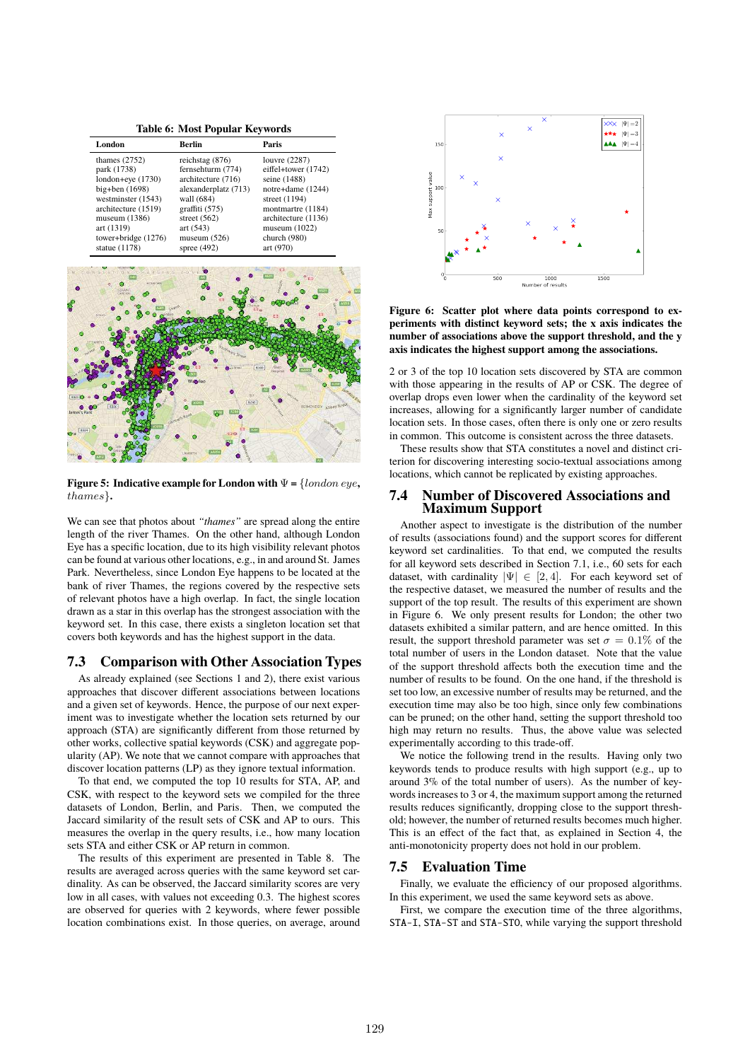**Table 6: Most Popular Keywords**

| London                | Berlin               | Paris               |
|-----------------------|----------------------|---------------------|
| thames $(2752)$       | reichstag $(876)$    | louvre (2287)       |
| park (1738)           | fernsehturm (774)    | eiffel+tower (1742) |
| $london+eye(1730)$    | architecture (716)   | seine (1488)        |
| $big+ben(1698)$       | alexanderplatz (713) | notre+dame (1244)   |
| westminster (1543)    | wall (684)           | street $(1194)$     |
| architecture (1519)   | graffiti $(575)$     | montmartre (1184)   |
| museum $(1386)$       | street $(562)$       | architecture (1136) |
| art (1319)            | art $(543)$          | museum $(1022)$     |
| tower+bridge $(1276)$ | museum $(526)$       | church (980)        |
| statue $(1178)$       | spree $(492)$        | art (970)           |



**Figure 5: Indicative example for London with** Ψ **=** {london eye**,** thames}**.**

We can see that photos about *"thames"* are spread along the entire length of the river Thames. On the other hand, although London Eye has a specific location, due to its high visibility relevant photos can be found at various other locations, e.g., in and around St. James Park. Nevertheless, since London Eye happens to be located at the bank of river Thames, the regions covered by the respective sets of relevant photos have a high overlap. In fact, the single location drawn as a star in this overlap has the strongest association with the keyword set. In this case, there exists a singleton location set that covers both keywords and has the highest support in the data.

## 7.3 Comparison with Other Association Types

As already explained (see Sections 1 and 2), there exist various approaches that discover different associations between locations and a given set of keywords. Hence, the purpose of our next experiment was to investigate whether the location sets returned by our approach (STA) are significantly different from those returned by other works, collective spatial keywords (CSK) and aggregate popularity (AP). We note that we cannot compare with approaches that discover location patterns (LP) as they ignore textual information.

To that end, we computed the top 10 results for STA, AP, and CSK, with respect to the keyword sets we compiled for the three datasets of London, Berlin, and Paris. Then, we computed the Jaccard similarity of the result sets of CSK and AP to ours. This measures the overlap in the query results, i.e., how many location sets STA and either CSK or AP return in common.

The results of this experiment are presented in Table 8. The results are averaged across queries with the same keyword set cardinality. As can be observed, the Jaccard similarity scores are very low in all cases, with values not exceeding 0.3. The highest scores are observed for queries with 2 keywords, where fewer possible location combinations exist. In those queries, on average, around



**Figure 6: Scatter plot where data points correspond to experiments with distinct keyword sets; the x axis indicates the number of associations above the support threshold, and the y axis indicates the highest support among the associations.**

2 or 3 of the top 10 location sets discovered by STA are common with those appearing in the results of AP or CSK. The degree of overlap drops even lower when the cardinality of the keyword set increases, allowing for a significantly larger number of candidate location sets. In those cases, often there is only one or zero results in common. This outcome is consistent across the three datasets.

These results show that STA constitutes a novel and distinct criterion for discovering interesting socio-textual associations among locations, which cannot be replicated by existing approaches.

## 7.4 Number of Discovered Associations and Maximum Support

Another aspect to investigate is the distribution of the number of results (associations found) and the support scores for different keyword set cardinalities. To that end, we computed the results for all keyword sets described in Section 7.1, i.e., 60 sets for each dataset, with cardinality  $|\Psi| \in [2, 4]$ . For each keyword set of the respective dataset, we measured the number of results and the support of the top result. The results of this experiment are shown in Figure 6. We only present results for London; the other two datasets exhibited a similar pattern, and are hence omitted. In this result, the support threshold parameter was set  $\sigma = 0.1\%$  of the total number of users in the London dataset. Note that the value of the support threshold affects both the execution time and the number of results to be found. On the one hand, if the threshold is set too low, an excessive number of results may be returned, and the execution time may also be too high, since only few combinations can be pruned; on the other hand, setting the support threshold too high may return no results. Thus, the above value was selected experimentally according to this trade-off.

We notice the following trend in the results. Having only two keywords tends to produce results with high support (e.g., up to around 3% of the total number of users). As the number of keywords increases to 3 or 4, the maximum support among the returned results reduces significantly, dropping close to the support threshold; however, the number of returned results becomes much higher. This is an effect of the fact that, as explained in Section 4, the anti-monotonicity property does not hold in our problem.

#### 7.5 Evaluation Time

Finally, we evaluate the efficiency of our proposed algorithms. In this experiment, we used the same keyword sets as above.

First, we compare the execution time of the three algorithms, STA-I, STA-ST and STA-STO, while varying the support threshold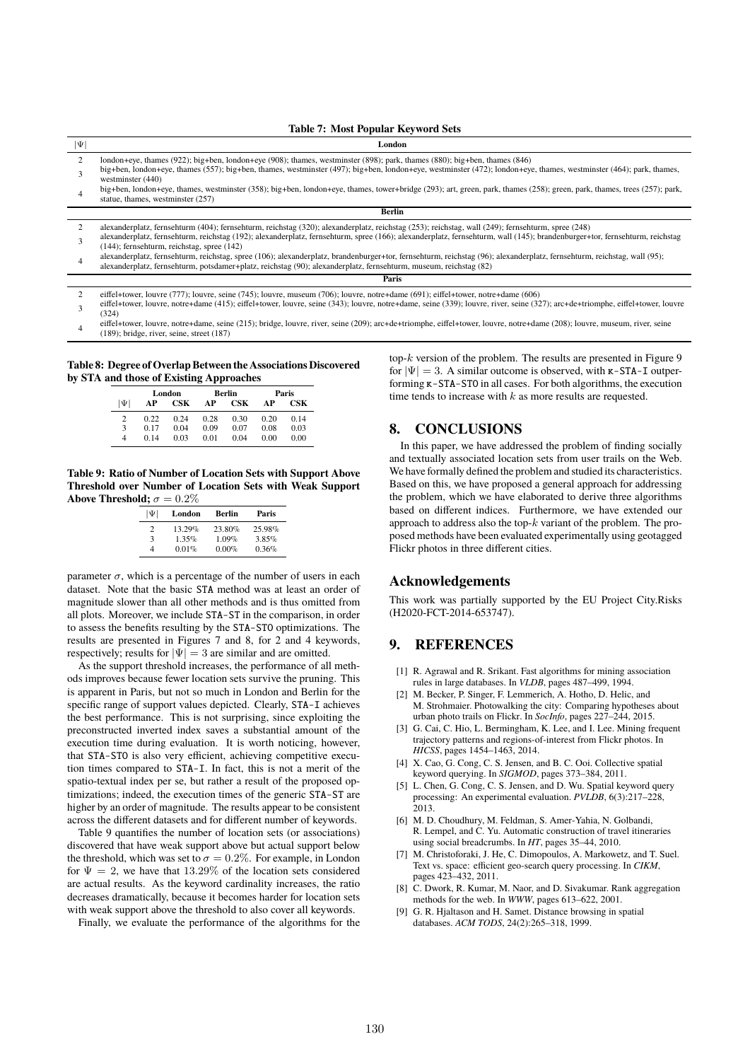#### **Table 7: Most Popular Keyword Sets**

| $ \Psi $ | London                                                                                                                                                                                                                                                                                       |
|----------|----------------------------------------------------------------------------------------------------------------------------------------------------------------------------------------------------------------------------------------------------------------------------------------------|
|          | london+eye, thames (922); big+ben, london+eye (908); thames, westminster (898); park, thames (880); big+ben, thames (846)                                                                                                                                                                    |
|          | big+ben, london+eye, thames (557); big+ben, thames, westminster (497); big+ben, london+eye, westminster (472); london+eye, thames, westminster (464); park, thames,<br>westminster $(440)$                                                                                                   |
| 4        | big+ben, london+eye, thames, westminster (358); big+ben, london+eye, thames, tower+bridge (293); art, green, park, thames (258); green, park, thames, trees (257); park,<br>statue, thames, westminster (257)                                                                                |
|          | <b>Berlin</b>                                                                                                                                                                                                                                                                                |
|          | alexanderplatz, fernsehturm (404); fernsehturm, reichstag (320); alexanderplatz, reichstag (253); reichstag, wall (249); fernsehturm, spree (248)                                                                                                                                            |
|          | alexanderplatz, fernsehturm, reichstag (192); alexanderplatz, fernsehturm, spree (166); alexanderplatz, fernsehturm, wall (145); brandenburger+tor, fernsehturm, reichstag<br>$(144)$ ; fernsehturm, reichstag, spree $(142)$                                                                |
| 4        | alexanderplatz, fernsehturm, reichstag, spree (106); alexanderplatz, brandenburger+tor, fernsehturm, reichstag (96); alexanderplatz, fernsehturm, reichstag, wall (95);<br>alexanderplatz, fernsehturm, potsdamer+platz, reichstag (90); alexanderplatz, fernsehturm, museum, reichstag (82) |
|          | Paris                                                                                                                                                                                                                                                                                        |
|          | eiffel+tower, louvre (777); louvre, seine (745); louvre, museum (706); louvre, notre+dame (691); eiffel+tower, notre+dame (606)                                                                                                                                                              |

3 eiffel+tower, louvre, notre+dame (415); eiffel+tower, louvre, seine (343); louvre, notre+dame, seine (339); louvre, river, seine (327); arc+de+triomphe, eiffel+tower, louvre (324)

4 eiffel+tower, louvre, notre+dame, seine (215); bridge, louvre, river, seine (209); arc+de+triomphe, eiffel+tower, louvre, notre+dame (208); louvre, museum, river, seine (189); bridge, river, seine, street (187)

**Table 8: Degree of Overlap Between the Associations Discovered by STA and those of Existing Approaches**

|        | London |                | Berlin |                | Paris |      |
|--------|--------|----------------|--------|----------------|-------|------|
| $\Psi$ | АP     | $\mathbf{CSK}$ | AP     | $\mathbf{CSK}$ | AP    | CSK  |
| 2      | 0.22   | 0.24           | 0.28   | 0.30           | 0.20  | 0.14 |
| 3      | 0.17   | 0.04           | 0.09   | 0.07           | 0.08  | 0.03 |
| 4      | 014    | 0.03           | 0.01   | 0.04           | 0.00  | 0.00 |

**Table 9: Ratio of Number of Location Sets with Support Above Threshold over Number of Location Sets with Weak Support Above Threshold;**  $\sigma = 0.2\%$ 

| $ \Psi $       | London | Berlin   | Paris  |  |  |
|----------------|--------|----------|--------|--|--|
| $\mathfrak{D}$ | 13.29% | 23.80%   | 25.98% |  |  |
| 3              | 1.35%  | $1.09\%$ | 3.85%  |  |  |
| Δ              | 0.01%  | $0.00\%$ | 0.36%  |  |  |
|                |        |          |        |  |  |

parameter  $\sigma$ , which is a percentage of the number of users in each dataset. Note that the basic STA method was at least an order of magnitude slower than all other methods and is thus omitted from all plots. Moreover, we include STA-ST in the comparison, in order to assess the benefits resulting by the STA-STO optimizations. The results are presented in Figures 7 and 8, for 2 and 4 keywords, respectively; results for  $|\Psi| = 3$  are similar and are omitted.

As the support threshold increases, the performance of all methods improves because fewer location sets survive the pruning. This is apparent in Paris, but not so much in London and Berlin for the specific range of support values depicted. Clearly, STA-I achieves the best performance. This is not surprising, since exploiting the preconstructed inverted index saves a substantial amount of the execution time during evaluation. It is worth noticing, however, that STA-STO is also very efficient, achieving competitive execution times compared to STA-I. In fact, this is not a merit of the spatio-textual index per se, but rather a result of the proposed optimizations; indeed, the execution times of the generic STA-ST are higher by an order of magnitude. The results appear to be consistent across the different datasets and for different number of keywords.

Table 9 quantifies the number of location sets (or associations) discovered that have weak support above but actual support below the threshold, which was set to  $\sigma = 0.2\%$ . For example, in London for  $\Psi = 2$ , we have that 13.29% of the location sets considered are actual results. As the keyword cardinality increases, the ratio decreases dramatically, because it becomes harder for location sets with weak support above the threshold to also cover all keywords.

Finally, we evaluate the performance of the algorithms for the

top- $k$  version of the problem. The results are presented in Figure 9 for  $|\Psi| = 3$ . A similar outcome is observed, with  $\kappa$ -STA-I outperforming k-STA-STO in all cases. For both algorithms, the execution time tends to increase with  $k$  as more results are requested.

## 8. CONCLUSIONS

In this paper, we have addressed the problem of finding socially and textually associated location sets from user trails on the Web. We have formally defined the problem and studied its characteristics. Based on this, we have proposed a general approach for addressing the problem, which we have elaborated to derive three algorithms based on different indices. Furthermore, we have extended our approach to address also the top-k variant of the problem. The proposed methods have been evaluated experimentally using geotagged Flickr photos in three different cities.

## Acknowledgements

This work was partially supported by the EU Project City.Risks (H2020-FCT-2014-653747).

## 9. REFERENCES

- [1] R. Agrawal and R. Srikant. Fast algorithms for mining association rules in large databases. In *VLDB*, pages 487–499, 1994.
- [2] M. Becker, P. Singer, F. Lemmerich, A. Hotho, D. Helic, and M. Strohmaier. Photowalking the city: Comparing hypotheses about urban photo trails on Flickr. In *SocInfo*, pages 227–244, 2015.
- [3] G. Cai, C. Hio, L. Bermingham, K. Lee, and I. Lee. Mining frequent trajectory patterns and regions-of-interest from Flickr photos. In *HICSS*, pages 1454–1463, 2014.
- [4] X. Cao, G. Cong, C. S. Jensen, and B. C. Ooi. Collective spatial keyword querying. In *SIGMOD*, pages 373–384, 2011.
- [5] L. Chen, G. Cong, C. S. Jensen, and D. Wu. Spatial keyword query processing: An experimental evaluation. *PVLDB*, 6(3):217–228, 2013.
- [6] M. D. Choudhury, M. Feldman, S. Amer-Yahia, N. Golbandi, R. Lempel, and C. Yu. Automatic construction of travel itineraries using social breadcrumbs. In *HT*, pages 35–44, 2010.
- [7] M. Christoforaki, J. He, C. Dimopoulos, A. Markowetz, and T. Suel. Text vs. space: efficient geo-search query processing. In *CIKM*, pages 423–432, 2011.
- [8] C. Dwork, R. Kumar, M. Naor, and D. Sivakumar. Rank aggregation methods for the web. In *WWW*, pages 613–622, 2001.
- [9] G. R. Hjaltason and H. Samet. Distance browsing in spatial databases. *ACM TODS*, 24(2):265–318, 1999.